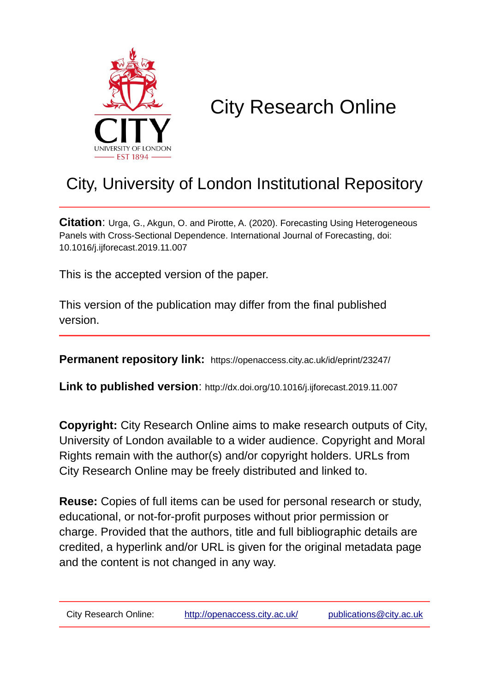

# City Research Online

# City, University of London Institutional Repository

**Citation**: Urga, G., Akgun, O. and Pirotte, A. (2020). Forecasting Using Heterogeneous Panels with Cross-Sectional Dependence. International Journal of Forecasting, doi: 10.1016/j.ijforecast.2019.11.007

This is the accepted version of the paper.

This version of the publication may differ from the final published version.

**Permanent repository link:** https://openaccess.city.ac.uk/id/eprint/23247/

**Link to published version**: http://dx.doi.org/10.1016/j.ijforecast.2019.11.007

**Copyright:** City Research Online aims to make research outputs of City, University of London available to a wider audience. Copyright and Moral Rights remain with the author(s) and/or copyright holders. URLs from City Research Online may be freely distributed and linked to.

**Reuse:** Copies of full items can be used for personal research or study, educational, or not-for-profit purposes without prior permission or charge. Provided that the authors, title and full bibliographic details are credited, a hyperlink and/or URL is given for the original metadata page and the content is not changed in any way.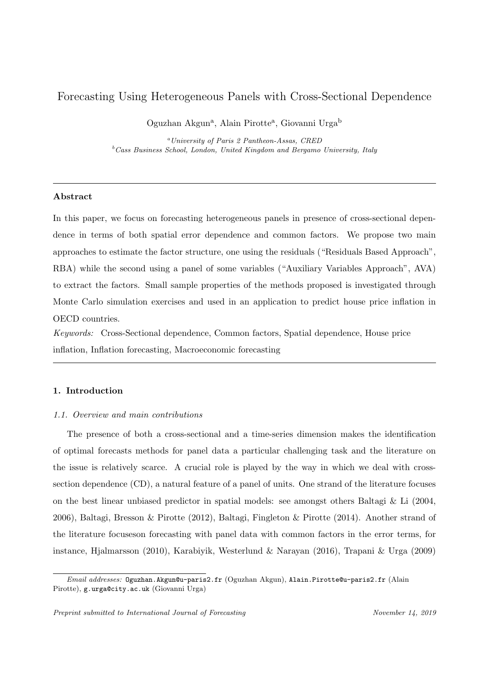# Forecasting Using Heterogeneous Panels with Cross-Sectional Dependence

Oguzhan Akgun<sup>a</sup>, Alain Pirotte<sup>a</sup>, Giovanni Urga<sup>b</sup>

<sup>a</sup>University of Paris 2 Pantheon-Assas, CRED  $b$ <sup>b</sup>Cass Business School, London, United Kingdom and Bergamo University, Italy

# Abstract

In this paper, we focus on forecasting heterogeneous panels in presence of cross-sectional dependence in terms of both spatial error dependence and common factors. We propose two main approaches to estimate the factor structure, one using the residuals ("Residuals Based Approach", RBA) while the second using a panel of some variables ("Auxiliary Variables Approach", AVA) to extract the factors. Small sample properties of the methods proposed is investigated through Monte Carlo simulation exercises and used in an application to predict house price inflation in OECD countries.

Keywords: Cross-Sectional dependence, Common factors, Spatial dependence, House price inflation, Inflation forecasting, Macroeconomic forecasting

# 1. Introduction

#### 1.1. Overview and main contributions

The presence of both a cross-sectional and a time-series dimension makes the identification of optimal forecasts methods for panel data a particular challenging task and the literature on the issue is relatively scarce. A crucial role is played by the way in which we deal with crosssection dependence (CD), a natural feature of a panel of units. One strand of the literature focuses on the best linear unbiased predictor in spatial models: see amongst others Baltagi & Li (2004, 2006), Baltagi, Bresson & Pirotte (2012), Baltagi, Fingleton & Pirotte (2014). Another strand of the literature focuseson forecasting with panel data with common factors in the error terms, for instance, Hjalmarsson (2010), Karabiyik, Westerlund & Narayan (2016), Trapani & Urga (2009)

Email addresses: Oguzhan.Akgun@u-paris2.fr (Oguzhan Akgun), Alain.Pirotte@u-paris2.fr (Alain Pirotte), g.urga@city.ac.uk (Giovanni Urga)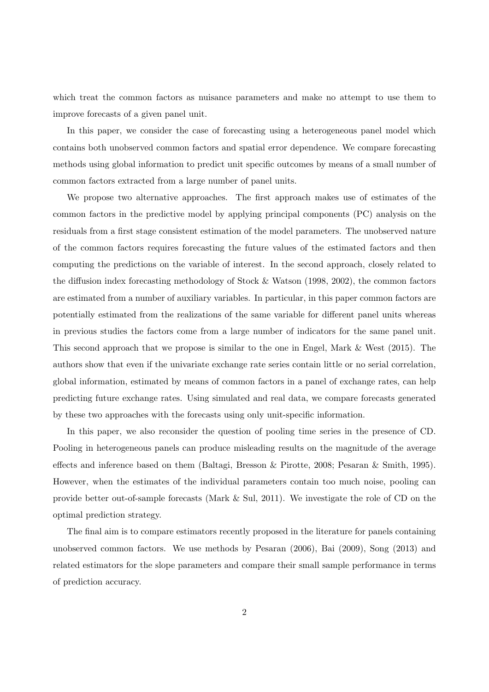which treat the common factors as nuisance parameters and make no attempt to use them to improve forecasts of a given panel unit.

In this paper, we consider the case of forecasting using a heterogeneous panel model which contains both unobserved common factors and spatial error dependence. We compare forecasting methods using global information to predict unit specific outcomes by means of a small number of common factors extracted from a large number of panel units.

We propose two alternative approaches. The first approach makes use of estimates of the common factors in the predictive model by applying principal components (PC) analysis on the residuals from a first stage consistent estimation of the model parameters. The unobserved nature of the common factors requires forecasting the future values of the estimated factors and then computing the predictions on the variable of interest. In the second approach, closely related to the diffusion index forecasting methodology of Stock & Watson (1998, 2002), the common factors are estimated from a number of auxiliary variables. In particular, in this paper common factors are potentially estimated from the realizations of the same variable for different panel units whereas in previous studies the factors come from a large number of indicators for the same panel unit. This second approach that we propose is similar to the one in Engel, Mark & West (2015). The authors show that even if the univariate exchange rate series contain little or no serial correlation, global information, estimated by means of common factors in a panel of exchange rates, can help predicting future exchange rates. Using simulated and real data, we compare forecasts generated by these two approaches with the forecasts using only unit-specific information.

In this paper, we also reconsider the question of pooling time series in the presence of CD. Pooling in heterogeneous panels can produce misleading results on the magnitude of the average effects and inference based on them (Baltagi, Bresson & Pirotte, 2008; Pesaran & Smith, 1995). However, when the estimates of the individual parameters contain too much noise, pooling can provide better out-of-sample forecasts (Mark & Sul, 2011). We investigate the role of CD on the optimal prediction strategy.

The final aim is to compare estimators recently proposed in the literature for panels containing unobserved common factors. We use methods by Pesaran (2006), Bai (2009), Song (2013) and related estimators for the slope parameters and compare their small sample performance in terms of prediction accuracy.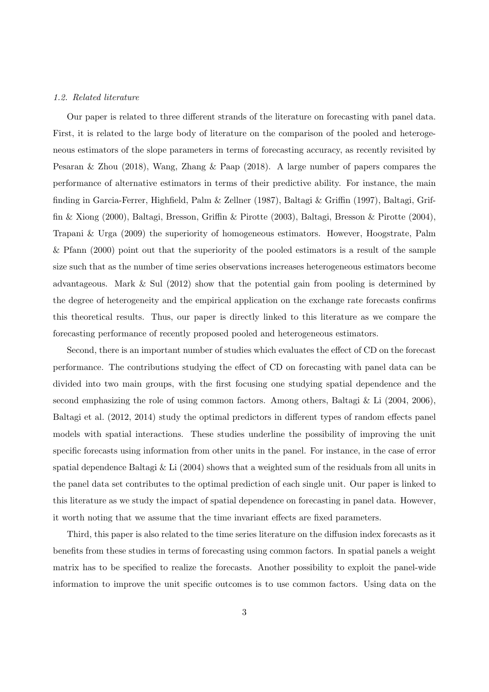#### 1.2. Related literature

Our paper is related to three different strands of the literature on forecasting with panel data. First, it is related to the large body of literature on the comparison of the pooled and heterogeneous estimators of the slope parameters in terms of forecasting accuracy, as recently revisited by Pesaran & Zhou (2018), Wang, Zhang & Paap (2018). A large number of papers compares the performance of alternative estimators in terms of their predictive ability. For instance, the main finding in Garcia-Ferrer, Highfield, Palm & Zellner (1987), Baltagi & Griffin (1997), Baltagi, Griffin & Xiong (2000), Baltagi, Bresson, Griffin & Pirotte (2003), Baltagi, Bresson & Pirotte (2004), Trapani & Urga (2009) the superiority of homogeneous estimators. However, Hoogstrate, Palm & Pfann (2000) point out that the superiority of the pooled estimators is a result of the sample size such that as the number of time series observations increases heterogeneous estimators become advantageous. Mark  $&$  Sul (2012) show that the potential gain from pooling is determined by the degree of heterogeneity and the empirical application on the exchange rate forecasts confirms this theoretical results. Thus, our paper is directly linked to this literature as we compare the forecasting performance of recently proposed pooled and heterogeneous estimators.

Second, there is an important number of studies which evaluates the effect of CD on the forecast performance. The contributions studying the effect of CD on forecasting with panel data can be divided into two main groups, with the first focusing one studying spatial dependence and the second emphasizing the role of using common factors. Among others, Baltagi & Li (2004, 2006), Baltagi et al. (2012, 2014) study the optimal predictors in different types of random effects panel models with spatial interactions. These studies underline the possibility of improving the unit specific forecasts using information from other units in the panel. For instance, in the case of error spatial dependence Baltagi & Li (2004) shows that a weighted sum of the residuals from all units in the panel data set contributes to the optimal prediction of each single unit. Our paper is linked to this literature as we study the impact of spatial dependence on forecasting in panel data. However, it worth noting that we assume that the time invariant effects are fixed parameters.

Third, this paper is also related to the time series literature on the diffusion index forecasts as it benefits from these studies in terms of forecasting using common factors. In spatial panels a weight matrix has to be specified to realize the forecasts. Another possibility to exploit the panel-wide information to improve the unit specific outcomes is to use common factors. Using data on the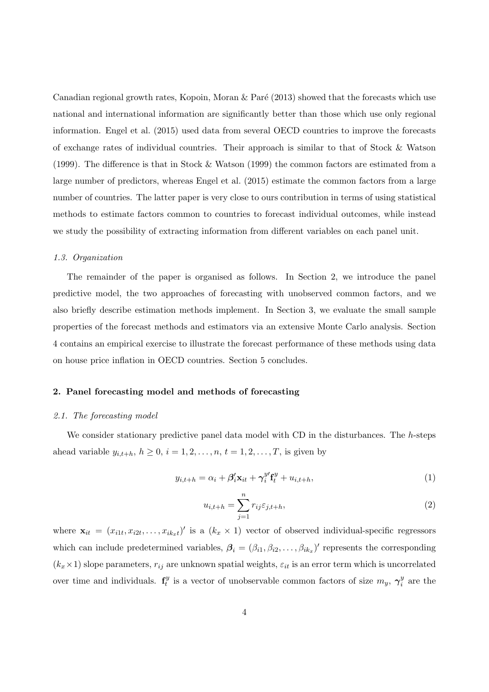Canadian regional growth rates, Kopoin, Moran  $\&$  Paré (2013) showed that the forecasts which use national and international information are significantly better than those which use only regional information. Engel et al. (2015) used data from several OECD countries to improve the forecasts of exchange rates of individual countries. Their approach is similar to that of Stock & Watson (1999). The difference is that in Stock & Watson (1999) the common factors are estimated from a large number of predictors, whereas Engel et al. (2015) estimate the common factors from a large number of countries. The latter paper is very close to ours contribution in terms of using statistical methods to estimate factors common to countries to forecast individual outcomes, while instead we study the possibility of extracting information from different variables on each panel unit.

#### 1.3. Organization

The remainder of the paper is organised as follows. In Section 2, we introduce the panel predictive model, the two approaches of forecasting with unobserved common factors, and we also briefly describe estimation methods implement. In Section 3, we evaluate the small sample properties of the forecast methods and estimators via an extensive Monte Carlo analysis. Section 4 contains an empirical exercise to illustrate the forecast performance of these methods using data on house price inflation in OECD countries. Section 5 concludes.

# 2. Panel forecasting model and methods of forecasting

#### 2.1. The forecasting model

We consider stationary predictive panel data model with CD in the disturbances. The h-steps ahead variable  $y_{i,t+h}$ ,  $h \ge 0$ ,  $i = 1, 2, ..., n$ ,  $t = 1, 2, ..., T$ , is given by

$$
y_{i,t+h} = \alpha_i + \beta'_i \mathbf{x}_{it} + \gamma_i^{y'} \mathbf{f}_t^y + u_{i,t+h},
$$
\n(1)

$$
u_{i,t+h} = \sum_{j=1}^{n} r_{ij} \varepsilon_{j,t+h},\tag{2}
$$

where  $\mathbf{x}_{it} = (x_{i1t}, x_{i2t}, \dots, x_{ik_xt})'$  is a  $(k_x \times 1)$  vector of observed individual-specific regressors which can include predetermined variables,  $\beta_i = (\beta_{i1}, \beta_{i2}, \dots, \beta_{ik_x})'$  represents the corresponding  $(k_x \times 1)$  slope parameters,  $r_{ij}$  are unknown spatial weights,  $\varepsilon_{it}$  is an error term which is uncorrelated over time and individuals.  $f_t^y$  $t_i^y$  is a vector of unobservable common factors of size  $m_y$ ,  $\gamma_i^y$  $\frac{y}{i}$  are the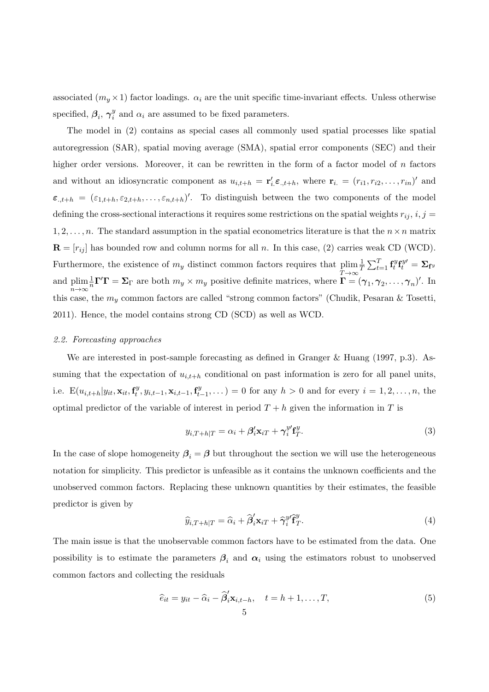associated  $(m_y \times 1)$  factor loadings.  $\alpha_i$  are the unit specific time-invariant effects. Unless otherwise specified,  $\beta_i$ ,  $\gamma_i^y$  $\frac{y}{i}$  and  $\alpha_i$  are assumed to be fixed parameters.

The model in (2) contains as special cases all commonly used spatial processes like spatial autoregression (SAR), spatial moving average (SMA), spatial error components (SEC) and their higher order versions. Moreover, it can be rewritten in the form of a factor model of  $n$  factors and without an idiosyncratic component as  $u_{i,t+h} = \mathbf{r}'_i \boldsymbol{\varepsilon}_{.,t+h}$ , where  $\mathbf{r}_i = (r_{i1}, r_{i2}, \dots, r_{in})'$  and  $\varepsilon_{n,k+h} = (\varepsilon_{1,k+h}, \varepsilon_{2,k+h}, \ldots, \varepsilon_{n,k+h})'$ . To distinguish between the two components of the model defining the cross-sectional interactions it requires some restrictions on the spatial weights  $r_{ij}$ ,  $i, j =$  $1, 2, \ldots, n$ . The standard assumption in the spatial econometrics literature is that the  $n \times n$  matrix  $\mathbf{R} = [r_{ij}]$  has bounded row and column norms for all n. In this case, (2) carries weak CD (WCD). Furthermore, the existence of  $m_y$  distinct common factors requires that plim  $T \rightarrow \infty$ 1  $\frac{1}{T}\sum_{t=1}^T \mathbf{f}_t^y$  $\mathbf{f}_t^{y} \mathbf{f}_t^{y\prime} = \mathbf{\Sigma}_{\mathbf{f}^y}$ and plim n→∞  $\frac{1}{n}\Gamma'\Gamma = \Sigma_{\Gamma}$  are both  $m_y \times m_y$  positive definite matrices, where  $\Gamma = (\gamma_1, \gamma_2, \dots, \gamma_n)'$ . In this case, the  $m_y$  common factors are called "strong common factors" (Chudik, Pesaran & Tosetti, 2011). Hence, the model contains strong CD (SCD) as well as WCD.

#### 2.2. Forecasting approaches

We are interested in post-sample forecasting as defined in Granger & Huang (1997, p.3). Assuming that the expectation of  $u_{i,t+h}$  conditional on past information is zero for all panel units, i.e.  $E(u_{i,t+h}|y_{it}, \mathbf{x}_{it}, \mathbf{f}_t^y)$  $\mathbf{t}^{y}, y_{i,t-1}, \mathbf{x}_{i,t-1}, \mathbf{f}^{y}_{t}$  $t_{t-1}^{y}, \ldots$  = 0 for any  $h > 0$  and for every  $i = 1, 2, \ldots, n$ , the optimal predictor of the variable of interest in period  $T + h$  given the information in T is

$$
y_{i,T+h|T} = \alpha_i + \beta'_i \mathbf{x}_{iT} + \gamma_i^{y'} \mathbf{f}_T^{y}.
$$
\n(3)

In the case of slope homogeneity  $\beta_i = \beta$  but throughout the section we will use the heterogeneous notation for simplicity. This predictor is unfeasible as it contains the unknown coefficients and the unobserved common factors. Replacing these unknown quantities by their estimates, the feasible predictor is given by

$$
\widehat{y}_{i,T+h|T} = \widehat{\alpha}_i + \widehat{\beta}_i' \mathbf{x}_{iT} + \widehat{\gamma}_i^y \widehat{\mathbf{f}}_T^y.
$$
\n(4)

The main issue is that the unobservable common factors have to be estimated from the data. One possibility is to estimate the parameters  $\beta_i$  and  $\alpha_i$  using the estimators robust to unobserved common factors and collecting the residuals

$$
\widehat{e}_{it} = y_{it} - \widehat{\alpha}_i - \widehat{\beta}'_i \mathbf{x}_{i,t-h}, \quad t = h+1, \dots, T,
$$
\n<sup>(5)</sup>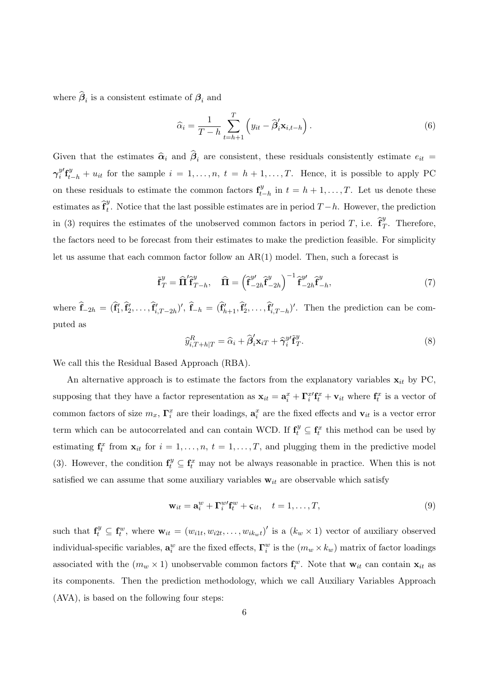where  $\beta_i$  is a consistent estimate of  $\beta_i$  and

$$
\widehat{\alpha}_i = \frac{1}{T - h} \sum_{t = h + 1}^T \left( y_{it} - \widehat{\boldsymbol{\beta}}'_i \mathbf{x}_{i, t - h} \right). \tag{6}
$$

Given that the estimates  $\hat{\alpha}_i$  and  $\beta_i$  are consistent, these residuals consistently estimate  $e_{it}$  =  $\gamma_i^{y \prime}$  $y'$ **f** $y'$ <sub>*t*-h</sub> + u<sub>it</sub> for the sample  $i = 1, ..., n$ ,  $t = h + 1, ..., T$ . Hence, it is possible to apply PC on these residuals to estimate the common factors  $\mathbf{f}_{t_i}^y$  $t_{t-h}^{y}$  in  $t = h + 1, \ldots, T$ . Let us denote these estimates as  $\hat{\mathbf{f}}_t^y$ <sup>y</sup>. Notice that the last possible estimates are in period  $T-h$ . However, the prediction in (3) requires the estimates of the unobserved common factors in period T, i.e.  $\hat{\mathbf{f}}_1^y$  $T<sup>s</sup>$ . Therefore, the factors need to be forecast from their estimates to make the prediction feasible. For simplicity let us assume that each common factor follow an AR(1) model. Then, such a forecast is

$$
\tilde{\mathbf{f}}_T^y = \widehat{\mathbf{\Pi}}' \hat{\mathbf{f}}_{T-h}^y, \quad \widehat{\mathbf{\Pi}} = \left(\hat{\mathbf{f}}_{-2h}^{y\prime} \hat{\mathbf{f}}_{-2h}^y\right)^{-1} \hat{\mathbf{f}}_{-2h}^{y\prime} \hat{\mathbf{f}}_{-h}^y,\tag{7}
$$

where  $\hat{\mathbf{f}}_{-2h} = (\hat{\mathbf{f}}'_1, \hat{\mathbf{f}}'_2, \dots, \hat{\mathbf{f}}'_{i,T-2h})'$ ,  $\hat{\mathbf{f}}_{-h} = (\hat{\mathbf{f}}'_{h+1}, \hat{\mathbf{f}}'_2, \dots, \hat{\mathbf{f}}'_{i,T-h})'$ . Then the prediction can be computed as

$$
\widehat{y}_{i,T+h|T}^R = \widehat{\alpha}_i + \widehat{\beta}_i' \mathbf{x}_{iT} + \widehat{\gamma}_i^{y'} \widetilde{\mathbf{f}}_T^y.
$$
\n(8)

We call this the Residual Based Approach (RBA).

An alternative approach is to estimate the factors from the explanatory variables  $x_{it}$  by PC, supposing that they have a factor representation as  $\mathbf{x}_{it} = \mathbf{a}_i^x + \Gamma_i^{x'} \mathbf{f}_t^x + \mathbf{v}_{it}$  where  $\mathbf{f}_t^x$  is a vector of common factors of size  $m_x$ ,  $\Gamma_i^x$  are their loadings,  $\mathbf{a}_i^x$  are the fixed effects and  $\mathbf{v}_{it}$  is a vector error term which can be autocorrelated and can contain WCD. If  $\mathbf{f}_t^y \subseteq \mathbf{f}_t^x$  this method can be used by estimating  $\mathbf{f}_t^x$  from  $\mathbf{x}_{it}$  for  $i = 1, \ldots, n, t = 1, \ldots, T$ , and plugging them in the predictive model (3). However, the condition  $\mathbf{f}_t^y \subseteq \mathbf{f}_t^x$  may not be always reasonable in practice. When this is not satisfied we can assume that some auxiliary variables  $w_{it}$  are observable which satisfy

$$
\mathbf{w}_{it} = \mathbf{a}_i^w + \Gamma_i^w \mathbf{f}_t^w + \varsigma_{it}, \quad t = 1, \dots, T,
$$
\n(9)

such that  $\mathbf{f}_t^y \subseteq \mathbf{f}_t^w$ , where  $\mathbf{w}_{it} = (w_{i1t}, w_{i2t}, \dots, w_{ik_wt})'$  is a  $(k_w \times 1)$  vector of auxiliary observed individual-specific variables,  $\mathbf{a}_i^w$  are the fixed effects,  $\Gamma_i^w$  is the  $(m_w \times k_w)$  matrix of factor loadings associated with the  $(m_w \times 1)$  unobservable common factors  $\mathbf{f}_t^w$ . Note that  $\mathbf{w}_{it}$  can contain  $\mathbf{x}_{it}$  as its components. Then the prediction methodology, which we call Auxiliary Variables Approach (AVA), is based on the following four steps: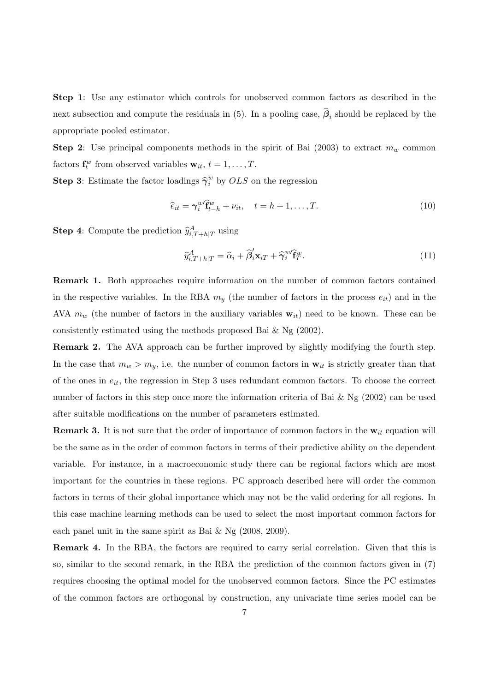Step 1: Use any estimator which controls for unobserved common factors as described in the next subsection and compute the residuals in (5). In a pooling case,  $\beta_i$  should be replaced by the appropriate pooled estimator.

**Step 2:** Use principal components methods in the spirit of Bai (2003) to extract  $m_w$  common factors  $\mathbf{f}_t^w$  from observed variables  $\mathbf{w}_{it}$ ,  $t = 1, \ldots, T$ .

**Step 3:** Estimate the factor loadings  $\hat{\gamma}_i^w$  by  $OLS$  on the regression

$$
\widehat{e}_{it} = \gamma_i^{w} \widehat{f}_{t-h}^w + \nu_{it}, \quad t = h+1, \dots, T. \tag{10}
$$

**Step 4:** Compute the prediction  $\hat{y}_{i,T+h|T}^A$  using

$$
\widehat{y}_{i,T+h|T}^A = \widehat{\alpha}_i + \widehat{\beta}_i^{\prime} \mathbf{x}_{iT} + \widehat{\gamma}_i^w \widehat{\mathbf{f}}_T^w.
$$
\n(11)

Remark 1. Both approaches require information on the number of common factors contained in the respective variables. In the RBA  $m_y$  (the number of factors in the process  $e_{it}$ ) and in the AVA  $m_w$  (the number of factors in the auxiliary variables  $w_{it}$ ) need to be known. These can be consistently estimated using the methods proposed Bai & Ng (2002).

Remark 2. The AVA approach can be further improved by slightly modifying the fourth step. In the case that  $m_w > m_y$ , i.e. the number of common factors in  $\mathbf{w}_{it}$  is strictly greater than that of the ones in  $e_{it}$ , the regression in Step 3 uses redundant common factors. To choose the correct number of factors in this step once more the information criteria of Bai & Ng (2002) can be used after suitable modifications on the number of parameters estimated.

**Remark 3.** It is not sure that the order of importance of common factors in the  $w_{it}$  equation will be the same as in the order of common factors in terms of their predictive ability on the dependent variable. For instance, in a macroeconomic study there can be regional factors which are most important for the countries in these regions. PC approach described here will order the common factors in terms of their global importance which may not be the valid ordering for all regions. In this case machine learning methods can be used to select the most important common factors for each panel unit in the same spirit as Bai & Ng (2008, 2009).

Remark 4. In the RBA, the factors are required to carry serial correlation. Given that this is so, similar to the second remark, in the RBA the prediction of the common factors given in (7) requires choosing the optimal model for the unobserved common factors. Since the PC estimates of the common factors are orthogonal by construction, any univariate time series model can be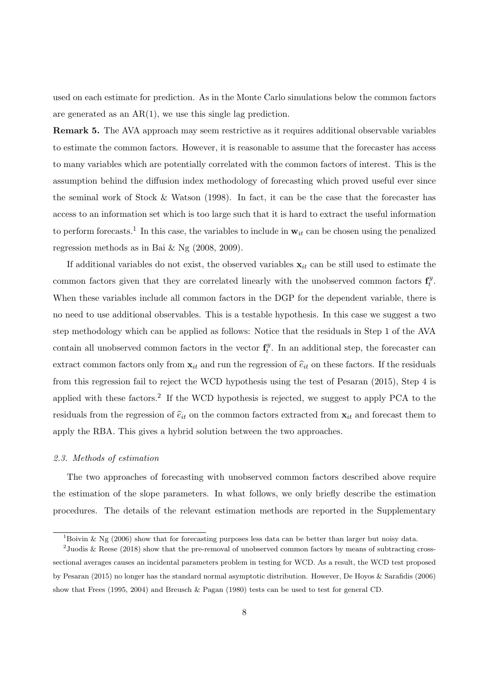used on each estimate for prediction. As in the Monte Carlo simulations below the common factors are generated as an  $AR(1)$ , we use this single lag prediction.

Remark 5. The AVA approach may seem restrictive as it requires additional observable variables to estimate the common factors. However, it is reasonable to assume that the forecaster has access to many variables which are potentially correlated with the common factors of interest. This is the assumption behind the diffusion index methodology of forecasting which proved useful ever since the seminal work of Stock & Watson (1998). In fact, it can be the case that the forecaster has access to an information set which is too large such that it is hard to extract the useful information to perform forecasts.<sup>1</sup> In this case, the variables to include in  $w_{it}$  can be chosen using the penalized regression methods as in Bai & Ng (2008, 2009).

If additional variables do not exist, the observed variables  $x_{it}$  can be still used to estimate the common factors given that they are correlated linearly with the unobserved common factors  $\mathbf{f}_t^y$  $\cdot \frac{y}{t}$ . When these variables include all common factors in the DGP for the dependent variable, there is no need to use additional observables. This is a testable hypothesis. In this case we suggest a two step methodology which can be applied as follows: Notice that the residuals in Step 1 of the AVA contain all unobserved common factors in the vector  $\mathbf{f}_t^y$  $t<sup>y</sup>$ . In an additional step, the forecaster can extract common factors only from  $x_{it}$  and run the regression of  $\hat{e}_{it}$  on these factors. If the residuals from this regression fail to reject the WCD hypothesis using the test of Pesaran (2015), Step 4 is applied with these factors.<sup>2</sup> If the WCD hypothesis is rejected, we suggest to apply PCA to the residuals from the regression of  $\hat{e}_{it}$  on the common factors extracted from  $\mathbf{x}_{it}$  and forecast them to apply the RBA. This gives a hybrid solution between the two approaches.

#### 2.3. Methods of estimation

The two approaches of forecasting with unobserved common factors described above require the estimation of the slope parameters. In what follows, we only briefly describe the estimation procedures. The details of the relevant estimation methods are reported in the Supplementary

<sup>&</sup>lt;sup>1</sup>Boivin & Ng (2006) show that for forecasting purposes less data can be better than larger but noisy data.

<sup>&</sup>lt;sup>2</sup> Juodis & Reese (2018) show that the pre-removal of unobserved common factors by means of subtracting crosssectional averages causes an incidental parameters problem in testing for WCD. As a result, the WCD test proposed by Pesaran (2015) no longer has the standard normal asymptotic distribution. However, De Hoyos & Sarafidis (2006) show that Frees (1995, 2004) and Breusch & Pagan (1980) tests can be used to test for general CD.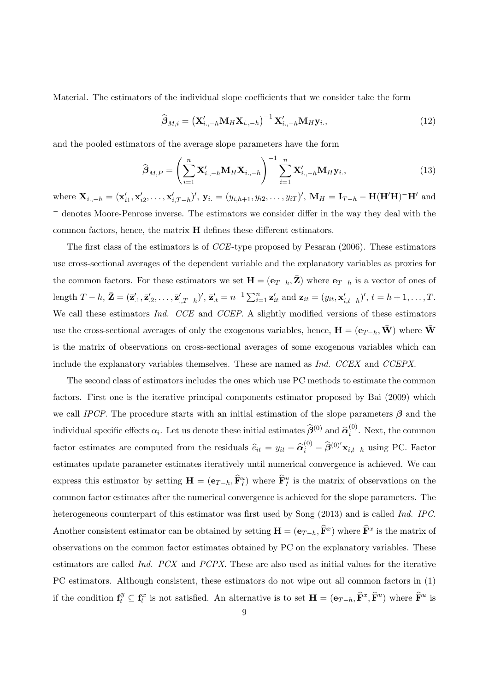Material. The estimators of the individual slope coefficients that we consider take the form

$$
\widehat{\boldsymbol{\beta}}_{M,i} = \left(\mathbf{X}_{i\cdot,-h}^{\prime}\mathbf{M}_{H}\mathbf{X}_{i\cdot,-h}\right)^{-1}\mathbf{X}_{i\cdot,-h}^{\prime}\mathbf{M}_{H}\mathbf{y}_{i\cdot},\tag{12}
$$

and the pooled estimators of the average slope parameters have the form

$$
\widehat{\boldsymbol{\beta}}_{M,P} = \left(\sum_{i=1}^{n} \mathbf{X}'_{i.,-h} \mathbf{M}_{H} \mathbf{X}_{i.,-h}\right)^{-1} \sum_{i=1}^{n} \mathbf{X}'_{i.,-h} \mathbf{M}_{H} \mathbf{y}_{i.},
$$
\n(13)

where  $\mathbf{X}_{i, -h} = (\mathbf{x}'_{i1}, \mathbf{x}'_{i2}, \dots, \mathbf{x}'_{i,T-h})'$ ,  $\mathbf{y}_{i.} = (y_{i,h+1}, y_{i2}, \dots, y_{iT})'$ ,  $\mathbf{M}_H = \mathbf{I}_{T-h} - \mathbf{H}(\mathbf{H}'\mathbf{H}) - \mathbf{H}'$  and <sup>−</sup> denotes Moore-Penrose inverse. The estimators we consider differ in the way they deal with the common factors, hence, the matrix H defines these different estimators.

The first class of the estimators is of CCE-type proposed by Pesaran (2006). These estimators use cross-sectional averages of the dependent variable and the explanatory variables as proxies for the common factors. For these estimators we set  $\mathbf{H} = (\mathbf{e}_{T-h}, \mathbf{Z})$  where  $\mathbf{e}_{T-h}$  is a vector of ones of length  $T - h$ ,  $\bar{\mathbf{Z}} = (\bar{\mathbf{z}}'_{.1}, \bar{\mathbf{z}}'_{.2}, \dots, \bar{\mathbf{z}}'_{.T-h})'$ ,  $\bar{\mathbf{z}}'_{.t} = n^{-1} \sum_{i=1}^{n} \mathbf{z}'_{it}$  and  $\mathbf{z}_{it} = (y_{it}, \mathbf{x}'_{i,t-h})'$ ,  $t = h+1, \dots, T$ . We call these estimators *Ind.* CCE and CCEP. A slightly modified versions of these estimators use the cross-sectional averages of only the exogenous variables, hence,  $\mathbf{H} = (\mathbf{e}_{T-h}, \bar{\mathbf{W}})$  where  $\bar{\mathbf{W}}$ is the matrix of observations on cross-sectional averages of some exogenous variables which can include the explanatory variables themselves. These are named as Ind. CCEX and CCEPX.

The second class of estimators includes the ones which use PC methods to estimate the common factors. First one is the iterative principal components estimator proposed by Bai (2009) which we call IPCP. The procedure starts with an initial estimation of the slope parameters  $\beta$  and the individual specific effects  $\alpha_i$ . Let us denote these initial estimates  $\hat{\beta}^{(0)}$  and  $\hat{\alpha}_i^{(0)}$  $i^{(0)}$ . Next, the common factor estimates are computed from the residuals  $\hat{e}_{it} = y_{it} - \hat{\alpha}_i^{(0)} - \hat{\beta}^{(0)'} \mathbf{x}_{i,t-h}$  using PC. Factor estimates update parameter estimates iteratively until numerical convergence is achieved. We can express this estimator by setting  $\mathbf{H} = (\mathbf{e}_{T-h}, \widehat{\mathbf{F}}_I^u)$  where  $\widehat{\mathbf{F}}_I^u$  is the matrix of observations on the common factor estimates after the numerical convergence is achieved for the slope parameters. The heterogeneous counterpart of this estimator was first used by Song (2013) and is called Ind. IPC. Another consistent estimator can be obtained by setting  $\mathbf{H} = (\mathbf{e}_{T-h}, \hat{\mathbf{F}}^x)$  where  $\hat{\mathbf{F}}^x$  is the matrix of observations on the common factor estimates obtained by PC on the explanatory variables. These estimators are called Ind. PCX and PCPX. These are also used as initial values for the iterative PC estimators. Although consistent, these estimators do not wipe out all common factors in (1) if the condition  $\mathbf{f}_t^y \subseteq \mathbf{f}_t^x$  is not satisfied. An alternative is to set  $\mathbf{H} = (\mathbf{e}_{T-h}, \widehat{\mathbf{F}}^x, \widehat{\mathbf{F}}^u)$  where  $\widehat{\mathbf{F}}^u$  is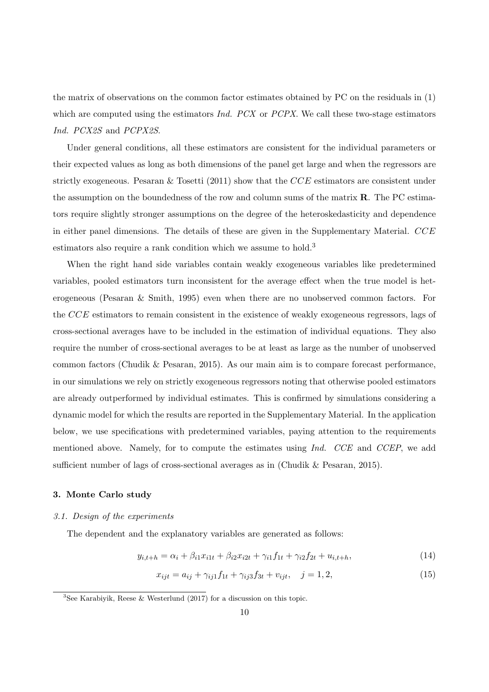the matrix of observations on the common factor estimates obtained by PC on the residuals in (1) which are computed using the estimators  $Ind. PCX$  or  $PCPX$ . We call these two-stage estimators Ind. PCX2S and PCPX2S.

Under general conditions, all these estimators are consistent for the individual parameters or their expected values as long as both dimensions of the panel get large and when the regressors are strictly exogeneous. Pesaran & Tosetti (2011) show that the  $CCE$  estimators are consistent under the assumption on the boundedness of the row and column sums of the matrix  $\bf{R}$ . The PC estimators require slightly stronger assumptions on the degree of the heteroskedasticity and dependence in either panel dimensions. The details of these are given in the Supplementary Material.  $CCE$ estimators also require a rank condition which we assume to hold.<sup>3</sup>

When the right hand side variables contain weakly exogeneous variables like predetermined variables, pooled estimators turn inconsistent for the average effect when the true model is heterogeneous (Pesaran & Smith, 1995) even when there are no unobserved common factors. For the CCE estimators to remain consistent in the existence of weakly exogeneous regressors, lags of cross-sectional averages have to be included in the estimation of individual equations. They also require the number of cross-sectional averages to be at least as large as the number of unobserved common factors (Chudik & Pesaran, 2015). As our main aim is to compare forecast performance, in our simulations we rely on strictly exogeneous regressors noting that otherwise pooled estimators are already outperformed by individual estimates. This is confirmed by simulations considering a dynamic model for which the results are reported in the Supplementary Material. In the application below, we use specifications with predetermined variables, paying attention to the requirements mentioned above. Namely, for to compute the estimates using Ind. CCE and CCEP, we add sufficient number of lags of cross-sectional averages as in (Chudik & Pesaran, 2015).

# 3. Monte Carlo study

## 3.1. Design of the experiments

The dependent and the explanatory variables are generated as follows:

$$
y_{i,t+h} = \alpha_i + \beta_{i1} x_{i1t} + \beta_{i2} x_{i2t} + \gamma_{i1} f_{1t} + \gamma_{i2} f_{2t} + u_{i,t+h},
$$
\n(14)

$$
x_{ijt} = a_{ij} + \gamma_{ij1}f_{1t} + \gamma_{ij3}f_{3t} + v_{ijt}, \quad j = 1, 2,
$$
\n(15)

<sup>&</sup>lt;sup>3</sup>See Karabiyik, Reese & Westerlund  $(2017)$  for a discussion on this topic.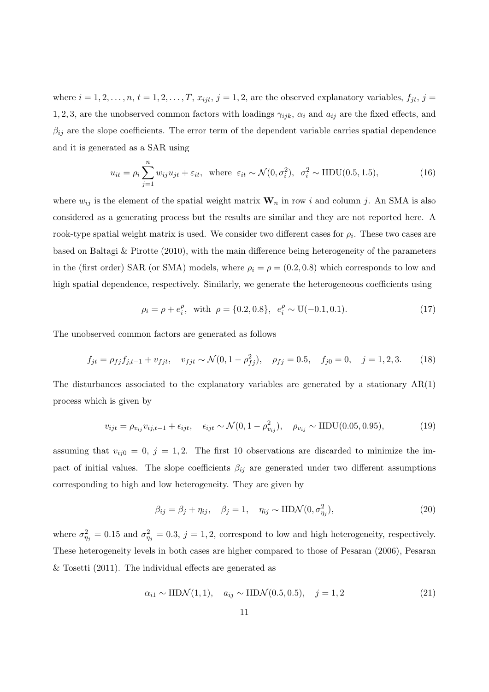where  $i = 1, 2, \ldots, n, t = 1, 2, \ldots, T, x_{ijt}, j = 1, 2$ , are the observed explanatory variables,  $f_{jt}, j =$ 1, 2, 3, are the unobserved common factors with loadings  $\gamma_{ijk}$ ,  $\alpha_i$  and  $a_{ij}$  are the fixed effects, and  $\beta_{ij}$  are the slope coefficients. The error term of the dependent variable carries spatial dependence and it is generated as a SAR using

$$
u_{it} = \rho_i \sum_{j=1}^n w_{ij} u_{jt} + \varepsilon_{it}, \text{ where } \varepsilon_{it} \sim \mathcal{N}(0, \sigma_i^2), \sigma_i^2 \sim \text{IIDU}(0.5, 1.5),
$$
 (16)

where  $w_{ij}$  is the element of the spatial weight matrix  $\mathbf{W}_n$  in row i and column j. An SMA is also considered as a generating process but the results are similar and they are not reported here. A rook-type spatial weight matrix is used. We consider two different cases for  $\rho_i$ . These two cases are based on Baltagi & Pirotte (2010), with the main difference being heterogeneity of the parameters in the (first order) SAR (or SMA) models, where  $\rho_i = \rho = (0.2, 0.8)$  which corresponds to low and high spatial dependence, respectively. Similarly, we generate the heterogeneous coefficients using

$$
\rho_i = \rho + e_i^{\rho}, \text{ with } \rho = \{0.2, 0.8\}, e_i^{\rho} \sim U(-0.1, 0.1). \tag{17}
$$

The unobserved common factors are generated as follows

$$
f_{jt} = \rho_{fj} f_{j,t-1} + v_{fjt}, \quad v_{fjt} \sim \mathcal{N}(0, 1 - \rho_{fj}^2), \quad \rho_{fj} = 0.5, \quad f_{j0} = 0, \quad j = 1, 2, 3. \tag{18}
$$

The disturbances associated to the explanatory variables are generated by a stationary  $AR(1)$ process which is given by

$$
v_{ijt} = \rho_{v_{ij}} v_{ij, t-1} + \epsilon_{ijt}, \quad \epsilon_{ijt} \sim \mathcal{N}(0, 1 - \rho_{v_{ij}}^2), \quad \rho_{v_{ij}} \sim \text{IIDU}(0.05, 0.95), \tag{19}
$$

assuming that  $v_{ij0} = 0, j = 1, 2$ . The first 10 observations are discarded to minimize the impact of initial values. The slope coefficients  $\beta_{ij}$  are generated under two different assumptions corresponding to high and low heterogeneity. They are given by

$$
\beta_{ij} = \beta_j + \eta_{ij}, \quad \beta_j = 1, \quad \eta_{ij} \sim \text{IID}\mathcal{N}(0, \sigma_{\eta_j}^2), \tag{20}
$$

where  $\sigma_{\eta_j}^2 = 0.15$  and  $\sigma_{\eta_j}^2 = 0.3$ ,  $j = 1, 2$ , correspond to low and high heterogeneity, respectively. These heterogeneity levels in both cases are higher compared to those of Pesaran (2006), Pesaran & Tosetti (2011). The individual effects are generated as

$$
\alpha_{i1} \sim \text{IIDN}(1,1), \quad a_{ij} \sim \text{IIDN}(0.5,0.5), \quad j = 1,2 \tag{21}
$$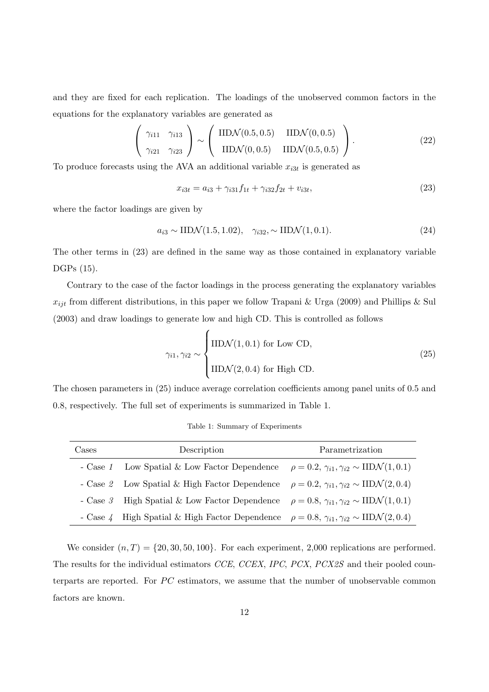and they are fixed for each replication. The loadings of the unobserved common factors in the equations for the explanatory variables are generated as

$$
\left(\begin{array}{cc}\gamma_{i11} & \gamma_{i13} \\ \gamma_{i21} & \gamma_{i23}\end{array}\right) \sim \left(\begin{array}{cc}\text{IIDN}(0.5, 0.5) & \text{IIDN}(0, 0.5) \\ \text{IIDN}(0, 0.5) & \text{IIDN}(0.5, 0.5)\end{array}\right).
$$
\n(22)

To produce forecasts using the AVA an additional variable  $x_{i3t}$  is generated as

$$
x_{i3t} = a_{i3} + \gamma_{i31} f_{1t} + \gamma_{i32} f_{2t} + v_{i3t}, \tag{23}
$$

where the factor loadings are given by

$$
a_{i3} \sim \text{IIDN}(1.5, 1.02), \quad \gamma_{i32}, \sim \text{IIDN}(1, 0.1). \tag{24}
$$

The other terms in (23) are defined in the same way as those contained in explanatory variable DGPs (15).

Contrary to the case of the factor loadings in the process generating the explanatory variables  $x_{ijt}$  from different distributions, in this paper we follow Trapani & Urga (2009) and Phillips & Sul (2003) and draw loadings to generate low and high CD. This is controlled as follows

$$
\gamma_{i1}, \gamma_{i2} \sim \begin{cases} \text{IIDN}(1, 0.1) \text{ for Low CD,} \\ \text{IIDN}(2, 0.4) \text{ for High CD.} \end{cases}
$$
 (25)

The chosen parameters in (25) induce average correlation coefficients among panel units of 0.5 and 0.8, respectively. The full set of experiments is summarized in Table 1.

| Cases | Description                                                                                                       | Parametrization |
|-------|-------------------------------------------------------------------------------------------------------------------|-----------------|
|       | - Case 1 Low Spatial & Low Factor Dependence $\rho = 0.2, \gamma_{i1}, \gamma_{i2} \sim \text{IIDN}(1, 0.1)$      |                 |
|       | - Case 2 Low Spatial & High Factor Dependence $\rho = 0.2$ , $\gamma_{i1}, \gamma_{i2} \sim \text{IIDN}(2, 0.4)$  |                 |
|       | - Case 3 High Spatial & Low Factor Dependence $\rho = 0.8$ , $\gamma_{i1}, \gamma_{i2} \sim \text{IIDN}(1, 0.1)$  |                 |
|       | - Case 4 High Spatial & High Factor Dependence $\rho = 0.8$ , $\gamma_{i1}, \gamma_{i2} \sim \text{IIDN}(2, 0.4)$ |                 |

Table 1: Summary of Experiments

We consider  $(n, T) = \{20, 30, 50, 100\}$ . For each experiment, 2,000 replications are performed. The results for the individual estimators CCE, CCEX, IPC, PCX, PCX2S and their pooled counterparts are reported. For  $PC$  estimators, we assume that the number of unobservable common factors are known.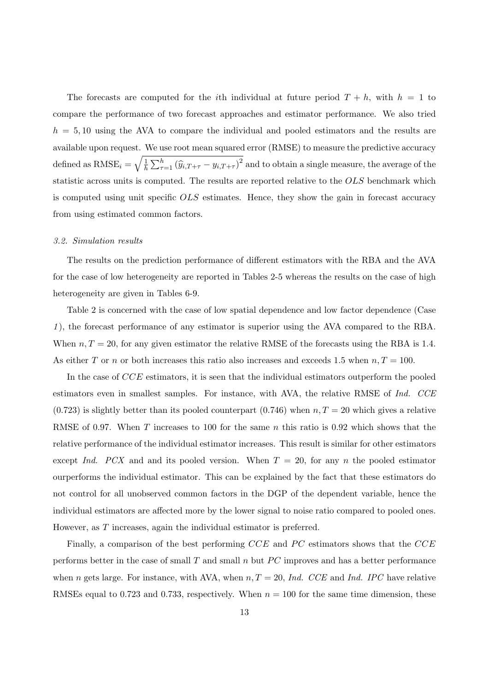The forecasts are computed for the *i*th individual at future period  $T + h$ , with  $h = 1$  to compare the performance of two forecast approaches and estimator performance. We also tried  $h = 5, 10$  using the AVA to compare the individual and pooled estimators and the results are available upon request. We use root mean squared error (RMSE) to measure the predictive accuracy defined as  $RMSE_i = \sqrt{\frac{1}{h}}$  $\frac{1}{h} \sum_{\tau=1}^{h} (\widehat{y}_{i,T+\tau} - y_{i,T+\tau})^2$  and to obtain a single measure, the average of the statistic across units is computed. The results are reported relative to the OLS benchmark which is computed using unit specific OLS estimates. Hence, they show the gain in forecast accuracy from using estimated common factors.

#### 3.2. Simulation results

The results on the prediction performance of different estimators with the RBA and the AVA for the case of low heterogeneity are reported in Tables 2-5 whereas the results on the case of high heterogeneity are given in Tables 6-9.

Table 2 is concerned with the case of low spatial dependence and low factor dependence (Case 1 ), the forecast performance of any estimator is superior using the AVA compared to the RBA. When  $n, T = 20$ , for any given estimator the relative RMSE of the forecasts using the RBA is 1.4. As either T or n or both increases this ratio also increases and exceeds 1.5 when  $n, T = 100$ .

In the case of CCE estimators, it is seen that the individual estimators outperform the pooled estimators even in smallest samples. For instance, with AVA, the relative RMSE of Ind. CCE  $(0.723)$  is slightly better than its pooled counterpart  $(0.746)$  when  $n, T = 20$  which gives a relative RMSE of 0.97. When T increases to 100 for the same n this ratio is 0.92 which shows that the relative performance of the individual estimator increases. This result is similar for other estimators except Ind. PCX and and its pooled version. When  $T = 20$ , for any n the pooled estimator ourperforms the individual estimator. This can be explained by the fact that these estimators do not control for all unobserved common factors in the DGP of the dependent variable, hence the individual estimators are affected more by the lower signal to noise ratio compared to pooled ones. However, as T increases, again the individual estimator is preferred.

Finally, a comparison of the best performing  $CCE$  and PC estimators shows that the  $CCE$ performs better in the case of small  $T$  and small  $n$  but  $PC$  improves and has a better performance when n gets large. For instance, with AVA, when  $n, T = 20$ , Ind. CCE and Ind. IPC have relative RMSEs equal to 0.723 and 0.733, respectively. When  $n = 100$  for the same time dimension, these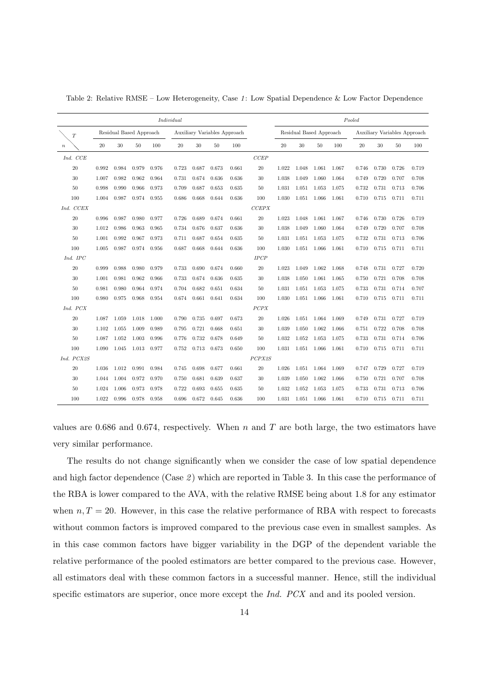|                  |       |                         |             |       | Individual |        |                              |       |        |        |                         |             |       | Pooled |       |                              |       |
|------------------|-------|-------------------------|-------------|-------|------------|--------|------------------------------|-------|--------|--------|-------------------------|-------------|-------|--------|-------|------------------------------|-------|
| T                |       | Residual Based Approach |             |       |            |        | Auxiliary Variables Approach |       |        |        | Residual Based Approach |             |       |        |       | Auxiliary Variables Approach |       |
| $\boldsymbol{n}$ | 20    | $30\,$                  | 50          | 100   | $20\,$     | $30\,$ | 50                           | 100   |        | $20\,$ | 30                      | 50          | 100   | 20     | 30    | 50                           | 100   |
| Ind. CCE         |       |                         |             |       |            |        |                              |       | CCEP   |        |                         |             |       |        |       |                              |       |
| 20               | 0.992 | 0.984                   | 0.979       | 0.976 | 0.723      | 0.687  | 0.673                        | 0.661 | 20     | 1.022  | 1.048                   | 1.061       | 1.067 | 0.746  | 0.730 | 0.726                        | 0.719 |
| 30               | 1.007 | 0.982                   | 0.962       | 0.964 | 0.731      | 0.674  | 0.636                        | 0.636 | 30     | 1.038  | 1.049                   | 1.060       | 1.064 | 0.749  | 0.720 | 0.707                        | 0.708 |
| 50               | 0.998 | 0.990                   | 0.966       | 0.973 | 0.709      | 0.687  | 0.653                        | 0.635 | 50     | 1.031  | 1.051                   | 1.053       | 1.075 | 0.732  | 0.731 | 0.713                        | 0.706 |
| 100              | 1.004 | 0.987                   | 0.974       | 0.955 | 0.686      | 0.668  | 0.644                        | 0.636 | 100    | 1.030  | 1.051                   | 1.066       | 1.061 | 0.710  | 0.715 | 0.711                        | 0.711 |
| Ind. CCEX        |       |                         |             |       |            |        |                              |       | CCEPX  |        |                         |             |       |        |       |                              |       |
| 20               | 0.996 | 0.987                   | 0.980       | 0.977 | 0.726      | 0.689  | 0.674                        | 0.661 | 20     | 1.023  | 1.048                   | 1.061       | 1.067 | 0.746  | 0.730 | 0.726                        | 0.719 |
| 30               | 1.012 | 0.986                   | 0.963       | 0.965 | 0.734      | 0.676  | 0.637                        | 0.636 | 30     | 1.038  | 1.049                   | 1.060       | 1.064 | 0.749  | 0.720 | 0.707                        | 0.708 |
| 50               | 1.001 | 0.992                   | 0.967       | 0.973 | 0.711      | 0.687  | 0.654                        | 0.635 | 50     | 1.031  | 1.051                   | 1.053       | 1.075 | 0.732  | 0.731 | 0.713                        | 0.706 |
| 100              | 1.005 | 0.987                   | 0.974       | 0.956 | 0.687      | 0.668  | 0.644                        | 0.636 | 100    | 1.030  | 1.051                   | 1.066       | 1.061 | 0.710  | 0.715 | 0.711                        | 0.711 |
| Ind. IPC         |       |                         |             |       |            |        |                              |       | IPCP   |        |                         |             |       |        |       |                              |       |
| 20               | 0.999 | 0.988                   | 0.980       | 0.979 | 0.733      | 0.690  | 0.674                        | 0.660 | $20\,$ | 1.023  | 1.049                   | 1.062       | 1.068 | 0.748  | 0.731 | 0.727                        | 0.720 |
| 30               | 1.001 | 0.981                   | 0.962       | 0.966 | 0.733      | 0.674  | 0.636                        | 0.635 | 30     | 1.038  | 1.050                   | 1.061       | 1.065 | 0.750  | 0.721 | 0.708                        | 0.708 |
| 50               | 0.981 | 0.980                   | 0.964       | 0.974 | 0.704      | 0.682  | 0.651                        | 0.634 | 50     | 1.031  | 1.051                   | 1.053       | 1.075 | 0.733  | 0.731 | 0.714                        | 0.707 |
| 100              | 0.980 | 0.975                   | 0.968       | 0.954 | 0.674      | 0.661  | 0.641                        | 0.634 | 100    | 1.030  | 1.051                   | 1.066       | 1.061 | 0.710  | 0.715 | 0.711                        | 0.711 |
| Ind. PCX         |       |                         |             |       |            |        |                              |       | PCPX   |        |                         |             |       |        |       |                              |       |
| 20               | 1.087 | 1.059                   | 1.018       | 1.000 | 0.790      | 0.735  | 0.697                        | 0.673 | 20     | 1.026  | 1.051                   | 1.064       | 1.069 | 0.749  | 0.731 | 0.727                        | 0.719 |
| 30               | 1.102 | 1.055                   | 1.009       | 0.989 | 0.795      | 0.721  | 0.668                        | 0.651 | 30     | 1.039  | 1.050                   | 1.062       | 1.066 | 0.751  | 0.722 | 0.708                        | 0.708 |
| 50               | 1.087 | 1.052                   | 1.003       | 0.996 | 0.776      | 0.732  | 0.678                        | 0.649 | 50     | 1.032  | 1.052                   | 1.053       | 1.075 | 0.733  | 0.731 | 0.714                        | 0.706 |
| 100              | 1.090 |                         | 1.045 1.013 | 0.977 | 0.752      | 0.713  | 0.673                        | 0.650 | 100    | 1.031  | 1.051                   | 1.066       | 1.061 | 0.710  | 0.715 | 0.711                        | 0.711 |
| Ind. PCX2S       |       |                         |             |       |            |        |                              |       | PCPX2S |        |                         |             |       |        |       |                              |       |
| 20               | 1.036 | 1.012                   | 0.991       | 0.984 | 0.745      | 0.698  | 0.677                        | 0.661 | 20     | 1.026  | 1.051                   | 1.064 1.069 |       | 0.747  | 0.729 | 0.727                        | 0.719 |
| 30               | 1.044 | 1.004                   | 0.972       | 0.970 | 0.750      | 0.681  | 0.639                        | 0.637 | 30     | 1.039  | 1.050                   | 1.062       | 1.066 | 0.750  | 0.721 | 0.707                        | 0.708 |
| 50               | 1.024 | 1.006                   | 0.973       | 0.978 | 0.722      | 0.693  | 0.655                        | 0.635 | 50     | 1.032  | 1.052                   | 1.053       | 1.075 | 0.733  | 0.731 | 0.713                        | 0.706 |
| 100              | 1.022 | 0.996                   | 0.978       | 0.958 | 0.696      | 0.672  | 0.645                        | 0.636 | 100    | 1.031  | 1.051                   | 1.066       | 1.061 | 0.710  | 0.715 | 0.711                        | 0.711 |

Table 2: Relative RMSE – Low Heterogeneity, Case 1: Low Spatial Dependence & Low Factor Dependence

values are 0.686 and 0.674, respectively. When  $n$  and  $T$  are both large, the two estimators have very similar performance.

The results do not change significantly when we consider the case of low spatial dependence and high factor dependence (Case  $2$ ) which are reported in Table 3. In this case the performance of the RBA is lower compared to the AVA, with the relative RMSE being about 1.8 for any estimator when  $n, T = 20$ . However, in this case the relative performance of RBA with respect to forecasts without common factors is improved compared to the previous case even in smallest samples. As in this case common factors have bigger variability in the DGP of the dependent variable the relative performance of the pooled estimators are better compared to the previous case. However, all estimators deal with these common factors in a successful manner. Hence, still the individual specific estimators are superior, once more except the *Ind. PCX* and and its pooled version.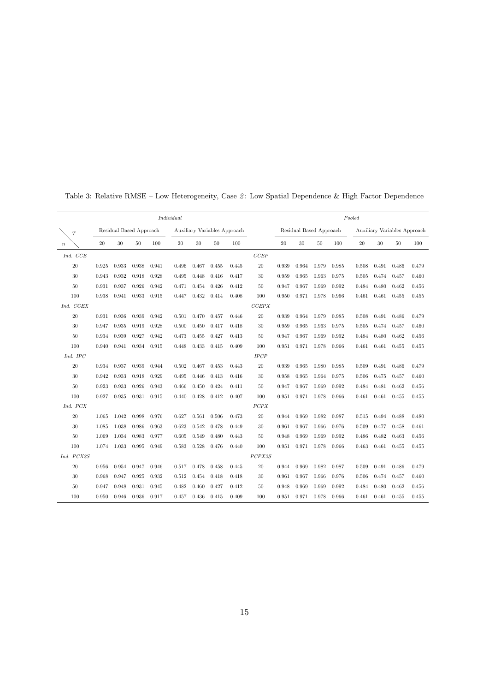|                  |       |                         |       |       | Individual |       |       |                              |        |       |       |                         |       | Pooled |       |                              |       |
|------------------|-------|-------------------------|-------|-------|------------|-------|-------|------------------------------|--------|-------|-------|-------------------------|-------|--------|-------|------------------------------|-------|
| T                |       | Residual Based Approach |       |       |            |       |       | Auxiliary Variables Approach |        |       |       | Residual Based Approach |       |        |       | Auxiliary Variables Approach |       |
| $\boldsymbol{n}$ | 20    | 30                      | 50    | 100   | 20         | 30    | 50    | 100                          |        | 20    | 30    | 50                      | 100   | 20     | 30    | 50                           | 100   |
| Ind. CCE         |       |                         |       |       |            |       |       |                              | CCEP   |       |       |                         |       |        |       |                              |       |
| 20               | 0.925 | 0.933                   | 0.938 | 0.941 | 0.496      | 0.467 | 0.455 | 0.445                        | 20     | 0.939 | 0.964 | 0.979                   | 0.985 | 0.508  | 0.491 | 0.486                        | 0.479 |
| 30               | 0.943 | 0.932                   | 0.918 | 0.928 | 0.495      | 0.448 | 0.416 | 0.417                        | 30     | 0.959 | 0.965 | 0.963                   | 0.975 | 0.505  | 0.474 | 0.457                        | 0.460 |
| $50\,$           | 0.931 | 0.937                   | 0.926 | 0.942 | 0.471      | 0.454 | 0.426 | 0.412                        | 50     | 0.947 | 0.967 | 0.969                   | 0.992 | 0.484  | 0.480 | 0.462                        | 0.456 |
| 100              | 0.938 | 0.941                   | 0.933 | 0.915 | 0.447      | 0.432 | 0.414 | 0.408                        | 100    | 0.950 | 0.971 | 0.978                   | 0.966 | 0.461  | 0.461 | 0.455                        | 0.455 |
| Ind. CCEX        |       |                         |       |       |            |       |       |                              | CCEPX  |       |       |                         |       |        |       |                              |       |
| $20\,$           | 0.931 | 0.936                   | 0.939 | 0.942 | 0.501      | 0.470 | 0.457 | 0.446                        | 20     | 0.939 | 0.964 | 0.979                   | 0.985 | 0.508  | 0.491 | 0.486                        | 0.479 |
| 30               | 0.947 | 0.935                   | 0.919 | 0.928 | 0.500      | 0.450 | 0.417 | 0.418                        | 30     | 0.959 | 0.965 | 0.963                   | 0.975 | 0.505  | 0.474 | 0.457                        | 0.460 |
| 50               | 0.934 | 0.939                   | 0.927 | 0.942 | 0.473      | 0.455 | 0.427 | 0.413                        | 50     | 0.947 | 0.967 | 0.969                   | 0.992 | 0.484  | 0.480 | 0.462                        | 0.456 |
| 100              | 0.940 | 0.941                   | 0.934 | 0.915 | 0.448      | 0.433 | 0.415 | 0.409                        | 100    | 0.951 | 0.971 | 0.978                   | 0.966 | 0.461  | 0.461 | 0.455                        | 0.455 |
| Ind. IPC         |       |                         |       |       |            |       |       |                              | IPCP   |       |       |                         |       |        |       |                              |       |
| 20               | 0.934 | 0.937                   | 0.939 | 0.944 | 0.502      | 0.467 | 0.453 | 0.443                        | 20     | 0.939 | 0.965 | 0.980                   | 0.985 | 0.509  | 0.491 | 0.486                        | 0.479 |
| 30               | 0.942 | 0.933                   | 0.918 | 0.929 | 0.495      | 0.446 | 0.413 | 0.416                        | 30     | 0.958 | 0.965 | 0.964                   | 0.975 | 0.506  | 0.475 | 0.457                        | 0.460 |
| 50               | 0.923 | 0.933                   | 0.926 | 0.943 | 0.466      | 0.450 | 0.424 | 0.411                        | 50     | 0.947 | 0.967 | 0.969                   | 0.992 | 0.484  | 0.481 | 0.462                        | 0.456 |
| 100              | 0.927 | 0.935                   | 0.931 | 0.915 | 0.440      | 0.428 | 0.412 | 0.407                        | 100    | 0.951 | 0.971 | 0.978                   | 0.966 | 0.461  | 0.461 | 0.455                        | 0.455 |
| Ind. PCX         |       |                         |       |       |            |       |       |                              | PCPX   |       |       |                         |       |        |       |                              |       |
| $20\,$           | 1.065 | 1.042                   | 0.998 | 0.976 | 0.627      | 0.561 | 0.506 | 0.473                        | 20     | 0.944 | 0.969 | 0.982                   | 0.987 | 0.515  | 0.494 | 0.488                        | 0.480 |
| $30\,$           | 1.085 | 1.038                   | 0.986 | 0.963 | 0.623      | 0.542 | 0.478 | 0.449                        | 30     | 0.961 | 0.967 | 0.966                   | 0.976 | 0.509  | 0.477 | 0.458                        | 0.461 |
| 50               | 1.069 | 1.034                   | 0.983 | 0.977 | 0.605      | 0.549 | 0.480 | 0.443                        | 50     | 0.948 | 0.969 | 0.969                   | 0.992 | 0.486  | 0.482 | 0.463                        | 0.456 |
| 100              | 1.074 | 1.033                   | 0.995 | 0.949 | 0.583      | 0.528 | 0.476 | 0.440                        | 100    | 0.951 | 0.971 | 0.978                   | 0.966 | 0.463  | 0.461 | 0.455                        | 0.455 |
| Ind. PCX2S       |       |                         |       |       |            |       |       |                              | PCPX2S |       |       |                         |       |        |       |                              |       |
| 20               | 0.956 | 0.954                   | 0.947 | 0.946 | 0.517      | 0.478 | 0.458 | 0.445                        | 20     | 0.944 | 0.969 | 0.982                   | 0.987 | 0.509  | 0.491 | 0.486                        | 0.479 |
| 30               | 0.968 | 0.947                   | 0.925 | 0.932 | 0.512      | 0.454 | 0.418 | 0.418                        | 30     | 0.961 | 0.967 | 0.966                   | 0.976 | 0.506  | 0.474 | 0.457                        | 0.460 |
| 50               | 0.947 | 0.948                   | 0.931 | 0.945 | 0.482      | 0.460 | 0.427 | 0.412                        | 50     | 0.948 | 0.969 | 0.969                   | 0.992 | 0.484  | 0.480 | 0.462                        | 0.456 |
| 100              | 0.950 | 0.946                   | 0.936 | 0.917 | 0.457      | 0.436 | 0.415 | 0.409                        | 100    | 0.951 | 0.971 | 0.978                   | 0.966 | 0.461  | 0.461 | 0.455                        | 0.455 |

Table 3: Relative RMSE – Low Heterogeneity, Case 2: Low Spatial Dependence & High Factor Dependence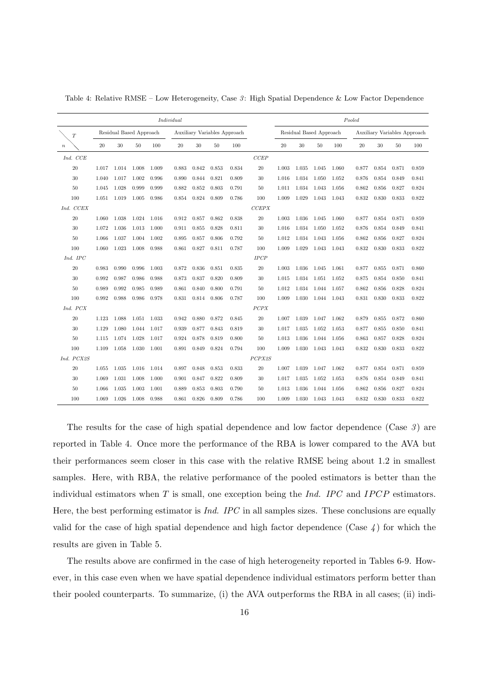|                  |       |                         |             |       | Individual |       |                              |       |        |       |                         |             |       | Pooled |       |                              |       |
|------------------|-------|-------------------------|-------------|-------|------------|-------|------------------------------|-------|--------|-------|-------------------------|-------------|-------|--------|-------|------------------------------|-------|
| T                |       | Residual Based Approach |             |       |            |       | Auxiliary Variables Approach |       |        |       | Residual Based Approach |             |       |        |       | Auxiliary Variables Approach |       |
| $\boldsymbol{n}$ | 20    | 30                      | 50          | 100   | 20         | 30    | 50                           | 100   |        | 20    | 30                      | 50          | 100   | 20     | 30    | 50                           | 100   |
| Ind. CCE         |       |                         |             |       |            |       |                              |       | CCEP   |       |                         |             |       |        |       |                              |       |
| 20               | 1.017 |                         | 1.014 1.008 | 1.009 | 0.883      | 0.842 | 0.853                        | 0.834 | 20     | 1.003 | 1.035                   | 1.045       | 1.060 | 0.877  | 0.854 | 0.871                        | 0.859 |
| 30               | 1.040 | 1.017                   | 1.002       | 0.996 | 0.890      | 0.844 | 0.821                        | 0.809 | 30     | 1.016 | 1.034                   | 1.050       | 1.052 | 0.876  | 0.854 | 0.849                        | 0.841 |
| 50               | 1.045 | 1.028                   | 0.999       | 0.999 | 0.882      | 0.852 | 0.803                        | 0.791 | 50     | 1.011 | 1.034                   | 1.043       | 1.056 | 0.862  | 0.856 | 0.827                        | 0.824 |
| 100              | 1.051 | 1.019                   | 1.005       | 0.986 | 0.854      | 0.824 | 0.809                        | 0.786 | 100    | 1.009 | 1.029                   | 1.043       | 1.043 | 0.832  | 0.830 | 0.833                        | 0.822 |
| Ind. CCEX        |       |                         |             |       |            |       |                              |       | CCEPX  |       |                         |             |       |        |       |                              |       |
| 20               | 1.060 | 1.038                   | 1.024       | 1.016 | 0.912      | 0.857 | 0.862                        | 0.838 | 20     | 1.003 | 1.036                   | 1.045       | 1.060 | 0.877  | 0.854 | 0.871                        | 0.859 |
| 30               | 1.072 | 1.036                   | 1.013       | 1.000 | 0.911      | 0.855 | 0.828                        | 0.811 | 30     | 1.016 | 1.034                   | 1.050       | 1.052 | 0.876  | 0.854 | 0.849                        | 0.841 |
| 50               | 1.066 | 1.037                   | 1.004       | 1.002 | 0.895      | 0.857 | 0.806                        | 0.792 | 50     | 1.012 | 1.034                   | 1.043       | 1.056 | 0.862  | 0.856 | 0.827                        | 0.824 |
| 100              | 1.060 | 1.023                   | 1.008       | 0.988 | 0.861      | 0.827 | 0.811                        | 0.787 | 100    | 1.009 | 1.029                   | 1.043       | 1.043 | 0.832  | 0.830 | 0.833                        | 0.822 |
| Ind. IPC         |       |                         |             |       |            |       |                              |       | IPCP   |       |                         |             |       |        |       |                              |       |
| 20               | 0.983 | 0.990                   | 0.996       | 1.003 | 0.872      | 0.836 | 0.851                        | 0.835 | 20     | 1.003 | 1.036                   | 1.045       | 1.061 | 0.877  | 0.855 | 0.871                        | 0.860 |
| 30               | 0.992 | 0.987                   | 0.986       | 0.988 | 0.873      | 0.837 | 0.820                        | 0.809 | 30     | 1.015 | 1.034                   | 1.051       | 1.052 | 0.875  | 0.854 | 0.850                        | 0.841 |
| 50               | 0.989 | 0.992                   | 0.985       | 0.989 | 0.861      | 0.840 | 0.800                        | 0.791 | 50     | 1.012 | 1.034                   | 1.044 1.057 |       | 0.862  | 0.856 | 0.828                        | 0.824 |
| 100              | 0.992 | 0.988                   | 0.986       | 0.978 | 0.831      | 0.814 | 0.806                        | 0.787 | 100    | 1.009 | 1.030                   | 1.044 1.043 |       | 0.831  | 0.830 | 0.833                        | 0.822 |
| Ind. PCX         |       |                         |             |       |            |       |                              |       | PCPX   |       |                         |             |       |        |       |                              |       |
| 20               | 1.123 | 1.088                   | 1.051       | 1.033 | 0.942      | 0.880 | 0.872                        | 0.845 | 20     | 1.007 | 1.039                   | 1.047 1.062 |       | 0.879  | 0.855 | 0.872                        | 0.860 |
| 30               | 1.129 | 1.080                   | 1.044       | 1.017 | 0.939      | 0.877 | 0.843                        | 0.819 | 30     | 1.017 | 1.035                   | 1.052       | 1.053 | 0.877  | 0.855 | 0.850                        | 0.841 |
| 50               | 1.115 |                         | 1.074 1.028 | 1.017 | 0.924      | 0.878 | 0.819                        | 0.800 | 50     | 1.013 | 1.036                   | 1.044 1.056 |       | 0.863  | 0.857 | 0.828                        | 0.824 |
| 100              | 1.109 | 1.058                   | 1.030       | 1.001 | 0.891      | 0.849 | 0.824                        | 0.794 | 100    | 1.009 | 1.030                   | 1.043       | 1.043 | 0.832  | 0.830 | 0.833                        | 0.822 |
| Ind. PCX2S       |       |                         |             |       |            |       |                              |       | PCPX2S |       |                         |             |       |        |       |                              |       |
| 20               | 1.055 | 1.035                   | 1.016       | 1.014 | 0.897      | 0.848 | 0.853                        | 0.833 | 20     | 1.007 | 1.039                   | 1.047       | 1.062 | 0.877  | 0.854 | 0.871                        | 0.859 |
| 30               | 1.069 | 1.031                   | 1.008       | 1.000 | 0.901      | 0.847 | 0.822                        | 0.809 | 30     | 1.017 | 1.035                   | 1.052       | 1.053 | 0.876  | 0.854 | 0.849                        | 0.841 |
| 50               | 1.066 | 1.035                   | 1.003       | 1.001 | 0.889      | 0.853 | 0.803                        | 0.790 | 50     | 1.013 | 1.036                   | 1.044       | 1.056 | 0.862  | 0.856 | 0.827                        | 0.824 |
| 100              | 1.069 | 1.026                   | 1.008       | 0.988 | 0.861      | 0.826 | 0.809                        | 0.786 | 100    | 1.009 | 1.030                   | 1.043       | 1.043 | 0.832  | 0.830 | 0.833                        | 0.822 |

Table 4: Relative RMSE – Low Heterogeneity, Case  $\beta$ : High Spatial Dependence & Low Factor Dependence

The results for the case of high spatial dependence and low factor dependence (Case  $\beta$ ) are reported in Table 4. Once more the performance of the RBA is lower compared to the AVA but their performances seem closer in this case with the relative RMSE being about 1.2 in smallest samples. Here, with RBA, the relative performance of the pooled estimators is better than the individual estimators when  $T$  is small, one exception being the  $Ind.$  IPC and IPCP estimators. Here, the best performing estimator is Ind. IPC in all samples sizes. These conclusions are equally valid for the case of high spatial dependence and high factor dependence (Case  $\chi$ ) for which the results are given in Table 5.

The results above are confirmed in the case of high heterogeneity reported in Tables 6-9. However, in this case even when we have spatial dependence individual estimators perform better than their pooled counterparts. To summarize, (i) the AVA outperforms the RBA in all cases; (ii) indi-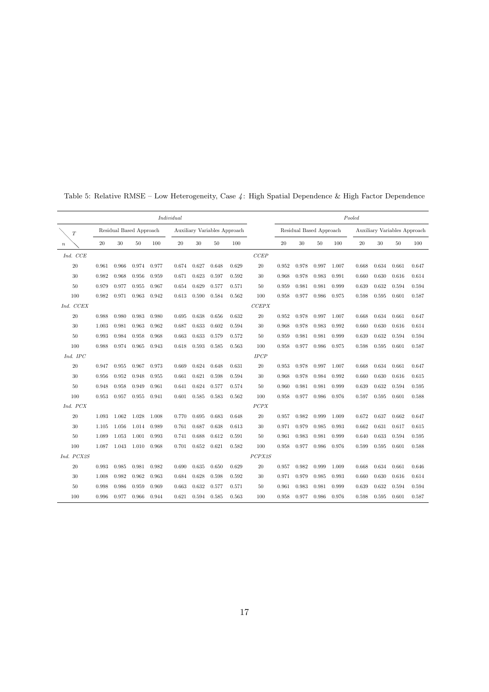|            |       |                         |       |       | Individual |       |       |                              |        |       |       |                         |       | Pooled |       |                              |       |
|------------|-------|-------------------------|-------|-------|------------|-------|-------|------------------------------|--------|-------|-------|-------------------------|-------|--------|-------|------------------------------|-------|
| T          |       | Residual Based Approach |       |       |            |       |       | Auxiliary Variables Approach |        |       |       | Residual Based Approach |       |        |       | Auxiliary Variables Approach |       |
| $\it n$    | 20    | 30                      | 50    | 100   | 20         | 30    | 50    | 100                          |        | 20    | 30    | 50                      | 100   | 20     | 30    | 50                           | 100   |
| Ind. CCE   |       |                         |       |       |            |       |       |                              | CCEP   |       |       |                         |       |        |       |                              |       |
| 20         | 0.961 | 0.966                   | 0.974 | 0.977 | 0.674      | 0.627 | 0.648 | 0.629                        | 20     | 0.952 | 0.978 | 0.997                   | 1.007 | 0.668  | 0.634 | 0.661                        | 0.647 |
| $30\,$     | 0.982 | 0.968                   | 0.956 | 0.959 | 0.671      | 0.623 | 0.597 | 0.592                        | 30     | 0.968 | 0.978 | 0.983                   | 0.991 | 0.660  | 0.630 | 0.616                        | 0.614 |
| $50\,$     | 0.979 | 0.977                   | 0.955 | 0.967 | 0.654      | 0.629 | 0.577 | 0.571                        | 50     | 0.959 | 0.981 | 0.981                   | 0.999 | 0.639  | 0.632 | 0.594                        | 0.594 |
| 100        | 0.982 | 0.971                   | 0.963 | 0.942 | 0.613      | 0.590 | 0.584 | 0.562                        | 100    | 0.958 | 0.977 | 0.986                   | 0.975 | 0.598  | 0.595 | 0.601                        | 0.587 |
| Ind. CCEX  |       |                         |       |       |            |       |       |                              | CCEPX  |       |       |                         |       |        |       |                              |       |
| $20\,$     | 0.988 | 0.980                   | 0.983 | 0.980 | 0.695      | 0.638 | 0.656 | 0.632                        | 20     | 0.952 | 0.978 | 0.997                   | 1.007 | 0.668  | 0.634 | 0.661                        | 0.647 |
| 30         | 1.003 | 0.981                   | 0.963 | 0.962 | 0.687      | 0.633 | 0.602 | 0.594                        | 30     | 0.968 | 0.978 | 0.983                   | 0.992 | 0.660  | 0.630 | 0.616                        | 0.614 |
| $50\,$     | 0.993 | 0.984                   | 0.958 | 0.968 | 0.663      | 0.633 | 0.579 | 0.572                        | 50     | 0.959 | 0.981 | 0.981                   | 0.999 | 0.639  | 0.632 | 0.594                        | 0.594 |
| 100        | 0.988 | 0.974                   | 0.965 | 0.943 | 0.618      | 0.593 | 0.585 | 0.563                        | 100    | 0.958 | 0.977 | 0.986                   | 0.975 | 0.598  | 0.595 | 0.601                        | 0.587 |
| Ind. IPC   |       |                         |       |       |            |       |       |                              | IPCP   |       |       |                         |       |        |       |                              |       |
| 20         | 0.947 | 0.955                   | 0.967 | 0.973 | 0.669      | 0.624 | 0.648 | 0.631                        | 20     | 0.953 | 0.978 | 0.997                   | 1.007 | 0.668  | 0.634 | 0.661                        | 0.647 |
| $30\,$     | 0.956 | 0.952                   | 0.948 | 0.955 | 0.661      | 0.621 | 0.598 | 0.594                        | 30     | 0.968 | 0.978 | 0.984                   | 0.992 | 0.660  | 0.630 | 0.616                        | 0.615 |
| 50         | 0.948 | 0.958                   | 0.949 | 0.961 | 0.641      | 0.624 | 0.577 | 0.574                        | 50     | 0.960 | 0.981 | 0.981                   | 0.999 | 0.639  | 0.632 | 0.594                        | 0.595 |
| 100        | 0.953 | 0.957                   | 0.955 | 0.941 | 0.601      | 0.585 | 0.583 | 0.562                        | 100    | 0.958 | 0.977 | 0.986                   | 0.976 | 0.597  | 0.595 | 0.601                        | 0.588 |
| Ind. PCX   |       |                         |       |       |            |       |       |                              | PCPX   |       |       |                         |       |        |       |                              |       |
| 20         | 1.093 | 1.062                   | 1.028 | 1.008 | 0.770      | 0.695 | 0.683 | 0.648                        | 20     | 0.957 | 0.982 | 0.999                   | 1.009 | 0.672  | 0.637 | 0.662                        | 0.647 |
| $30\,$     | 1.105 | 1.056                   | 1.014 | 0.989 | 0.761      | 0.687 | 0.638 | 0.613                        | 30     | 0.971 | 0.979 | 0.985                   | 0.993 | 0.662  | 0.631 | 0.617                        | 0.615 |
| 50         | 1.089 | 1.053                   | 1.001 | 0.993 | 0.741      | 0.688 | 0.612 | 0.591                        | 50     | 0.961 | 0.983 | 0.981                   | 0.999 | 0.640  | 0.633 | 0.594                        | 0.595 |
| 100        | 1.087 | 1.043                   | 1.010 | 0.968 | 0.701      | 0.652 | 0.621 | 0.582                        | 100    | 0.958 | 0.977 | 0.986                   | 0.976 | 0.599  | 0.595 | 0.601                        | 0.588 |
| Ind. PCX2S |       |                         |       |       |            |       |       |                              | PCPX2S |       |       |                         |       |        |       |                              |       |
| 20         | 0.993 | 0.985                   | 0.981 | 0.982 | 0.690      | 0.635 | 0.650 | 0.629                        | 20     | 0.957 | 0.982 | 0.999                   | 1.009 | 0.668  | 0.634 | 0.661                        | 0.646 |
| $30\,$     | 1.008 | 0.982                   | 0.962 | 0.963 | 0.684      | 0.628 | 0.598 | 0.592                        | 30     | 0.971 | 0.979 | 0.985                   | 0.993 | 0.660  | 0.630 | 0.616                        | 0.614 |
| 50         | 0.998 | 0.986                   | 0.959 | 0.969 | 0.663      | 0.632 | 0.577 | 0.571                        | 50     | 0.961 | 0.983 | 0.981                   | 0.999 | 0.639  | 0.632 | 0.594                        | 0.594 |
| 100        | 0.996 | 0.977                   | 0.966 | 0.944 | 0.621      | 0.594 | 0.585 | 0.563                        | 100    | 0.958 | 0.977 | 0.986                   | 0.976 | 0.598  | 0.595 | 0.601                        | 0.587 |

Table 5: Relative RMSE – Low Heterogeneity, Case 4: High Spatial Dependence & High Factor Dependence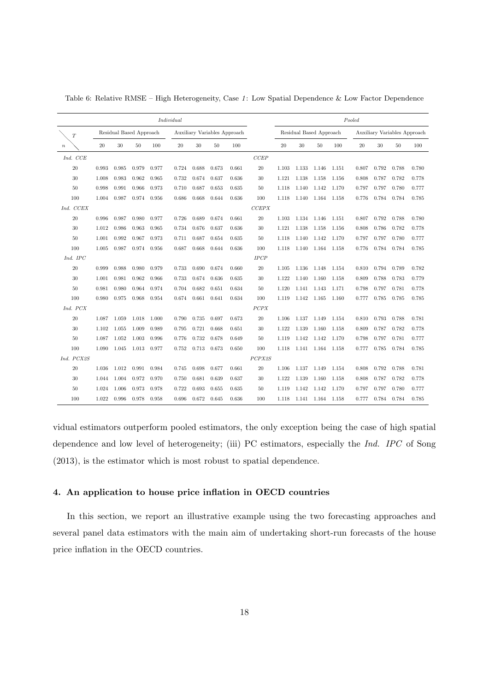|                  |       |                         |       |       | Individual |       |       |                              |        |       |                         |             |       | Pooled |        |                              |       |
|------------------|-------|-------------------------|-------|-------|------------|-------|-------|------------------------------|--------|-------|-------------------------|-------------|-------|--------|--------|------------------------------|-------|
| T                |       | Residual Based Approach |       |       |            |       |       | Auxiliary Variables Approach |        |       | Residual Based Approach |             |       |        |        | Auxiliary Variables Approach |       |
| $\boldsymbol{n}$ | 20    | 30                      | 50    | 100   | 20         | 30    | 50    | 100                          |        | 20    | 30                      | 50          | 100   | $20\,$ | $30\,$ | 50                           | 100   |
| Ind. CCE         |       |                         |       |       |            |       |       |                              | CCEP   |       |                         |             |       |        |        |                              |       |
| 20               | 0.993 | 0.985                   | 0.979 | 0.977 | 0.724      | 0.688 | 0.673 | 0.661                        | 20     | 1.103 | 1.133                   | 1.146 1.151 |       | 0.807  | 0.792  | 0.788                        | 0.780 |
| 30               | 1.008 | 0.983                   | 0.962 | 0.965 | 0.732      | 0.674 | 0.637 | 0.636                        | 30     | 1.121 | 1.138                   | 1.158       | 1.156 | 0.808  | 0.787  | 0.782                        | 0.778 |
| 50               | 0.998 | 0.991                   | 0.966 | 0.973 | 0.710      | 0.687 | 0.653 | 0.635                        | 50     | 1.118 | 1.140                   | 1.142 1.170 |       | 0.797  | 0.797  | 0.780                        | 0.777 |
| 100              | 1.004 | 0.987                   | 0.974 | 0.956 | 0.686      | 0.668 | 0.644 | 0.636                        | 100    | 1.118 | 1.140                   | 1.164 1.158 |       | 0.776  | 0.784  | 0.784                        | 0.785 |
| Ind. CCEX        |       |                         |       |       |            |       |       |                              | CCEPX  |       |                         |             |       |        |        |                              |       |
| 20               | 0.996 | 0.987                   | 0.980 | 0.977 | 0.726      | 0.689 | 0.674 | 0.661                        | 20     | 1.103 |                         | 1.134 1.146 | 1.151 | 0.807  | 0.792  | 0.788                        | 0.780 |
| 30               | 1.012 | 0.986                   | 0.963 | 0.965 | 0.734      | 0.676 | 0.637 | 0.636                        | 30     | 1.121 | 1.138                   | 1.158       | 1.156 | 0.808  | 0.786  | 0.782                        | 0.778 |
| 50               | 1.001 | 0.992                   | 0.967 | 0.973 | 0.711      | 0.687 | 0.654 | 0.635                        | 50     | 1.118 | 1.140                   | 1.142       | 1.170 | 0.797  | 0.797  | 0.780                        | 0.777 |
| 100              | 1.005 | 0.987                   | 0.974 | 0.956 | 0.687      | 0.668 | 0.644 | 0.636                        | 100    | 1.118 | 1.140                   | 1.164 1.158 |       | 0.776  | 0.784  | 0.784                        | 0.785 |
| Ind. IPC         |       |                         |       |       |            |       |       |                              | IPCP   |       |                         |             |       |        |        |                              |       |
| 20               | 0.999 | 0.988                   | 0.980 | 0.979 | 0.733      | 0.690 | 0.674 | 0.660                        | 20     | 1.105 | 1.136                   | 1.148       | 1.154 | 0.810  | 0.794  | 0.789                        | 0.782 |
| 30               | 1.001 | 0.981                   | 0.962 | 0.966 | 0.733      | 0.674 | 0.636 | 0.635                        | 30     | 1.122 | 1.140                   | 1.160       | 1.158 | 0.809  | 0.788  | 0.783                        | 0.779 |
| 50               | 0.981 | 0.980                   | 0.964 | 0.974 | 0.704      | 0.682 | 0.651 | 0.634                        | 50     | 1.120 | 1.141                   | 1.143       | 1.171 | 0.798  | 0.797  | 0.781                        | 0.778 |
| 100              | 0.980 | 0.975                   | 0.968 | 0.954 | 0.674      | 0.661 | 0.641 | 0.634                        | 100    | 1.119 |                         | 1.142 1.165 | 1.160 | 0.777  | 0.785  | 0.785                        | 0.785 |
| Ind. PCX         |       |                         |       |       |            |       |       |                              | PCPX   |       |                         |             |       |        |        |                              |       |
| 20               | 1.087 | 1.059                   | 1.018 | 1.000 | 0.790      | 0.735 | 0.697 | 0.673                        | 20     | 1.106 | 1.137                   | 1.149       | 1.154 | 0.810  | 0.793  | 0.788                        | 0.781 |
| 30               | 1.102 | 1.055                   | 1.009 | 0.989 | 0.795      | 0.721 | 0.668 | 0.651                        | 30     | 1.122 | 1.139                   | 1.160       | 1.158 | 0.809  | 0.787  | 0.782                        | 0.778 |
| 50               | 1.087 | 1.052                   | 1.003 | 0.996 | 0.776      | 0.732 | 0.678 | 0.649                        | 50     | 1.119 | 1.142                   | 1.142       | 1.170 | 0.798  | 0.797  | 0.781                        | 0.777 |
| 100              | 1.090 | 1.045                   | 1.013 | 0.977 | 0.752      | 0.713 | 0.673 | 0.650                        | 100    | 1.118 | 1.141                   | 1.164 1.158 |       | 0.777  | 0.785  | 0.784                        | 0.785 |
| Ind. PCX2S       |       |                         |       |       |            |       |       |                              | PCPX2S |       |                         |             |       |        |        |                              |       |
| 20               | 1.036 | 1.012                   | 0.991 | 0.984 | 0.745      | 0.698 | 0.677 | 0.661                        | 20     | 1.106 | 1.137                   | 1.149       | 1.154 | 0.808  | 0.792  | 0.788                        | 0.781 |
| 30               | 1.044 | 1.004                   | 0.972 | 0.970 | 0.750      | 0.681 | 0.639 | 0.637                        | 30     | 1.122 | 1.139                   | 1.160       | 1.158 | 0.808  | 0.787  | 0.782                        | 0.778 |
| 50               | 1.024 | 1.006                   | 0.973 | 0.978 | 0.722      | 0.693 | 0.655 | 0.635                        | 50     | 1.119 | 1.142                   | 1.142       | 1.170 | 0.797  | 0.797  | 0.780                        | 0.777 |
| 100              | 1.022 | 0.996                   | 0.978 | 0.958 | 0.696      | 0.672 | 0.645 | 0.636                        | 100    | 1.118 | 1.141                   | 1.164 1.158 |       | 0.777  |        | 0.784 0.784                  | 0.785 |

Table 6: Relative RMSE – High Heterogeneity, Case 1: Low Spatial Dependence & Low Factor Dependence

vidual estimators outperform pooled estimators, the only exception being the case of high spatial dependence and low level of heterogeneity; (iii) PC estimators, especially the Ind. IPC of Song (2013), is the estimator which is most robust to spatial dependence.

# 4. An application to house price inflation in OECD countries

In this section, we report an illustrative example using the two forecasting approaches and several panel data estimators with the main aim of undertaking short-run forecasts of the house price inflation in the OECD countries.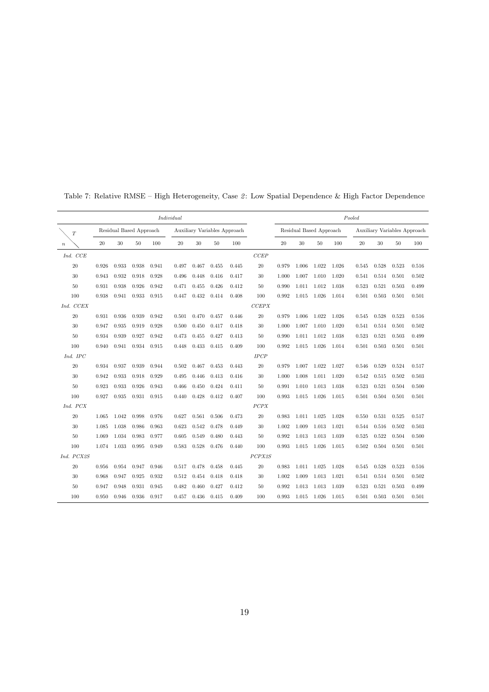|                  |       |                         |       |       | Individual |        |       |                              |        |       |       |                         |       | Pooled |                 |                              |       |
|------------------|-------|-------------------------|-------|-------|------------|--------|-------|------------------------------|--------|-------|-------|-------------------------|-------|--------|-----------------|------------------------------|-------|
| T                |       | Residual Based Approach |       |       |            |        |       | Auxiliary Variables Approach |        |       |       | Residual Based Approach |       |        |                 | Auxiliary Variables Approach |       |
| $\boldsymbol{n}$ | 20    | $30\,$                  | 50    | 100   | 20         | $30\,$ | 50    | 100                          |        | 20    | 30    | 50                      | 100   | $20\,$ | $30\,$          | 50                           | 100   |
| Ind. CCE         |       |                         |       |       |            |        |       |                              | CCEP   |       |       |                         |       |        |                 |                              |       |
| $20\,$           | 0.926 | 0.933                   | 0.938 | 0.941 | 0.497      | 0.467  | 0.455 | 0.445                        | 20     | 0.979 | 1.006 | 1.022                   | 1.026 | 0.545  | 0.528           | 0.523                        | 0.516 |
| $30\,$           | 0.943 | 0.932                   | 0.918 | 0.928 | 0.496      | 0.448  | 0.416 | 0.417                        | 30     | 1.000 | 1.007 | 1.010                   | 1.020 | 0.541  | 0.514           | 0.501                        | 0.502 |
| 50               | 0.931 | 0.938                   | 0.926 | 0.942 | 0.471      | 0.455  | 0.426 | 0.412                        | 50     | 0.990 | 1.011 | $1.012$ $1.038$         |       | 0.523  | 0.521           | 0.503                        | 0.499 |
| 100              | 0.938 | 0.941                   | 0.933 | 0.915 | 0.447      | 0.432  | 0.414 | 0.408                        | 100    | 0.992 | 1.015 | 1.026                   | 1.014 | 0.501  | 0.503           | 0.501                        | 0.501 |
| Ind. CCEX        |       |                         |       |       |            |        |       |                              | CCEPX  |       |       |                         |       |        |                 |                              |       |
| $20\,$           | 0.931 | 0.936                   | 0.939 | 0.942 | 0.501      | 0.470  | 0.457 | 0.446                        | 20     | 0.979 | 1.006 | 1.022                   | 1.026 | 0.545  | 0.528           | 0.523                        | 0.516 |
| 30               | 0.947 | 0.935                   | 0.919 | 0.928 | 0.500      | 0.450  | 0.417 | 0.418                        | 30     | 1.000 | 1.007 | $1.010\,$               | 1.020 | 0.541  | 0.514           | 0.501                        | 0.502 |
| 50               | 0.934 | 0.939                   | 0.927 | 0.942 | 0.473      | 0.455  | 0.427 | 0.413                        | 50     | 0.990 | 1.011 | 1.012                   | 1.038 | 0.523  | 0.521           | 0.503                        | 0.499 |
| 100              | 0.940 | 0.941                   | 0.934 | 0.915 | 0.448      | 0.433  | 0.415 | 0.409                        | 100    | 0.992 | 1.015 | 1.026                   | 1.014 | 0.501  | 0.503           | 0.501                        | 0.501 |
| Ind. IPC         |       |                         |       |       |            |        |       |                              | IPCP   |       |       |                         |       |        |                 |                              |       |
| $20\,$           | 0.934 | 0.937                   | 0.939 | 0.944 | 0.502      | 0.467  | 0.453 | 0.443                        | 20     | 0.979 | 1.007 | 1.022                   | 1.027 | 0.546  | 0.529           | 0.524                        | 0.517 |
| 30               | 0.942 | 0.933                   | 0.918 | 0.929 | 0.495      | 0.446  | 0.413 | 0.416                        | 30     | 1.000 | 1.008 | 1.011 1.020             |       | 0.542  | 0.515           | 0.502                        | 0.503 |
| 50               | 0.923 | 0.933                   | 0.926 | 0.943 | 0.466      | 0.450  | 0.424 | 0.411                        | 50     | 0.991 | 1.010 | 1.013                   | 1.038 | 0.523  | 0.521           | 0.504                        | 0.500 |
| 100              | 0.927 | 0.935                   | 0.931 | 0.915 | 0.440      | 0.428  | 0.412 | 0.407                        | 100    | 0.993 |       | 1.015 1.026             | 1.015 | 0.501  | $0.504$ $0.501$ |                              | 0.501 |
| Ind. PCX         |       |                         |       |       |            |        |       |                              | PCPX   |       |       |                         |       |        |                 |                              |       |
| $20\,$           | 1.065 | 1.042                   | 0.998 | 0.976 | 0.627      | 0.561  | 0.506 | 0.473                        | 20     | 0.983 | 1.011 | 1.025                   | 1.028 | 0.550  | 0.531           | 0.525                        | 0.517 |
| 30               | 1.085 | 1.038                   | 0.986 | 0.963 | 0.623      | 0.542  | 0.478 | 0.449                        | 30     | 1.002 | 1.009 | 1.013                   | 1.021 | 0.544  | 0.516           | 0.502                        | 0.503 |
| 50               | 1.069 | 1.034                   | 0.983 | 0.977 | 0.605      | 0.549  | 0.480 | 0.443                        | 50     | 0.992 | 1.013 | 1.013                   | 1.039 | 0.525  | 0.522           | 0.504                        | 0.500 |
| 100              | 1.074 | 1.033                   | 0.995 | 0.949 | 0.583      | 0.528  | 0.476 | 0.440                        | 100    | 0.993 | 1.015 | 1.026                   | 1.015 | 0.502  | 0.504           | 0.501                        | 0.501 |
| Ind. PCX2S       |       |                         |       |       |            |        |       |                              | PCPX2S |       |       |                         |       |        |                 |                              |       |
| $20\,$           | 0.956 | 0.954                   | 0.947 | 0.946 | 0.517      | 0.478  | 0.458 | 0.445                        | 20     | 0.983 | 1.011 | 1.025 1.028             |       | 0.545  | 0.528           | 0.523                        | 0.516 |
| 30               | 0.968 | 0.947                   | 0.925 | 0.932 | 0.512      | 0.454  | 0.418 | 0.418                        | 30     | 1.002 | 1.009 | 1.013                   | 1.021 | 0.541  | 0.514           | 0.501                        | 0.502 |
| $50\,$           | 0.947 | 0.948                   | 0.931 | 0.945 | 0.482      | 0.460  | 0.427 | 0.412                        | 50     | 0.992 | 1.013 | 1.013                   | 1.039 | 0.523  | 0.521           | 0.503                        | 0.499 |
| 100              | 0.950 | 0.946                   | 0.936 | 0.917 | 0.457      | 0.436  | 0.415 | 0.409                        | 100    | 0.993 | 1.015 | 1.026                   | 1.015 | 0.501  | 0.503           | 0.501                        | 0.501 |

Table 7: Relative RMSE – High Heterogeneity, Case 2: Low Spatial Dependence & High Factor Dependence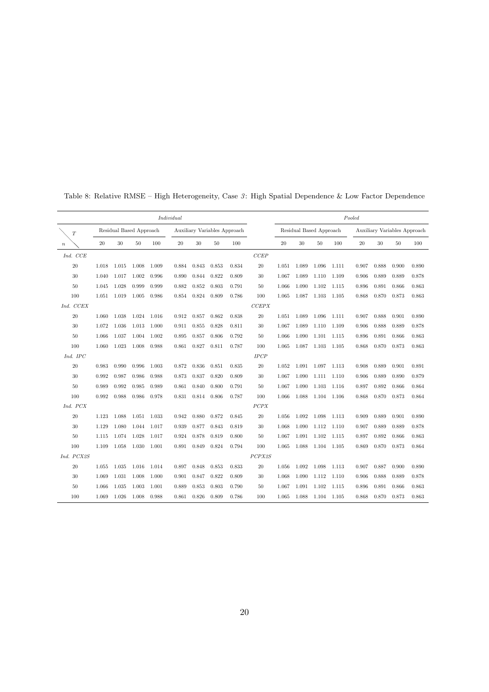|                  |       |                         |       |       | Individual |       |       |                              |        |       |       |                         |       | Pooled |       |                              |       |
|------------------|-------|-------------------------|-------|-------|------------|-------|-------|------------------------------|--------|-------|-------|-------------------------|-------|--------|-------|------------------------------|-------|
| T                |       | Residual Based Approach |       |       |            |       |       | Auxiliary Variables Approach |        |       |       | Residual Based Approach |       |        |       | Auxiliary Variables Approach |       |
| $\boldsymbol{n}$ | 20    | 30                      | 50    | 100   | 20         | 30    | 50    | 100                          |        | 20    | 30    | 50                      | 100   | 20     | 30    | 50                           | 100   |
| Ind. CCE         |       |                         |       |       |            |       |       |                              | CCEP   |       |       |                         |       |        |       |                              |       |
| $20\,$           | 1.018 | 1.015                   | 1.008 | 1.009 | 0.884      | 0.843 | 0.853 | 0.834                        | 20     | 1.051 | 1.089 | 1.096                   | 1.111 | 0.907  | 0.888 | 0.900                        | 0.890 |
| 30               | 1.040 | 1.017                   | 1.002 | 0.996 | 0.890      | 0.844 | 0.822 | 0.809                        | 30     | 1.067 | 1.089 | 1.110                   | 1.109 | 0.906  | 0.889 | 0.889                        | 0.878 |
| 50               | 1.045 | 1.028                   | 0.999 | 0.999 | 0.882      | 0.852 | 0.803 | 0.791                        | 50     | 1.066 | 1.090 | 1.102                   | 1.115 | 0.896  | 0.891 | 0.866                        | 0.863 |
| 100              | 1.051 | 1.019                   | 1.005 | 0.986 | 0.854      | 0.824 | 0.809 | 0.786                        | 100    | 1.065 | 1.087 | 1.103                   | 1.105 | 0.868  | 0.870 | 0.873                        | 0.863 |
| Ind. CCEX        |       |                         |       |       |            |       |       |                              | CCEPX  |       |       |                         |       |        |       |                              |       |
| $20\,$           | 1.060 | 1.038                   | 1.024 | 1.016 | 0.912      | 0.857 | 0.862 | 0.838                        | 20     | 1.051 | 1.089 | 1.096                   | 1.111 | 0.907  | 0.888 | 0.901                        | 0.890 |
| 30               | 1.072 | 1.036                   | 1.013 | 1.000 | 0.911      | 0.855 | 0.828 | 0.811                        | 30     | 1.067 | 1.089 | 1.110 1.109             |       | 0.906  | 0.888 | 0.889                        | 0.878 |
| 50               | 1.066 | 1.037                   | 1.004 | 1.002 | 0.895      | 0.857 | 0.806 | 0.792                        | 50     | 1.066 | 1.090 | 1.101                   | 1.115 | 0.896  | 0.891 | 0.866                        | 0.863 |
| 100              | 1.060 | 1.023                   | 1.008 | 0.988 | 0.861      | 0.827 | 0.811 | 0.787                        | 100    | 1.065 | 1.087 | 1.103                   | 1.105 | 0.868  | 0.870 | 0.873                        | 0.863 |
| Ind. IPC         |       |                         |       |       |            |       |       |                              | IPCP   |       |       |                         |       |        |       |                              |       |
| 20               | 0.983 | 0.990                   | 0.996 | 1.003 | 0.872      | 0.836 | 0.851 | 0.835                        | 20     | 1.052 | 1.091 | 1.097 1.113             |       | 0.908  | 0.889 | 0.901                        | 0.891 |
| 30               | 0.992 | 0.987                   | 0.986 | 0.988 | 0.873      | 0.837 | 0.820 | 0.809                        | 30     | 1.067 | 1.090 | 1.111                   | 1.110 | 0.906  | 0.889 | 0.890                        | 0.879 |
| 50               | 0.989 | 0.992                   | 0.985 | 0.989 | 0.861      | 0.840 | 0.800 | 0.791                        | 50     | 1.067 | 1.090 | 1.103                   | 1.116 | 0.897  | 0.892 | 0.866                        | 0.864 |
| 100              | 0.992 | 0.988                   | 0.986 | 0.978 | 0.831      | 0.814 | 0.806 | 0.787                        | 100    | 1.066 | 1.088 | 1.104 1.106             |       | 0.868  | 0.870 | 0.873                        | 0.864 |
| Ind. PCX         |       |                         |       |       |            |       |       |                              | PCPX   |       |       |                         |       |        |       |                              |       |
| $20\,$           | 1.123 | 1.088                   | 1.051 | 1.033 | 0.942      | 0.880 | 0.872 | 0.845                        | 20     | 1.056 | 1.092 | 1.098                   | 1.113 | 0.909  | 0.889 | 0.901                        | 0.890 |
| $30\,$           | 1.129 | 1.080                   | 1.044 | 1.017 | 0.939      | 0.877 | 0.843 | 0.819                        | 30     | 1.068 | 1.090 | 1.112                   | 1.110 | 0.907  | 0.889 | 0.889                        | 0.878 |
| 50               | 1.115 | 1.074                   | 1.028 | 1.017 | 0.924      | 0.878 | 0.819 | 0.800                        | 50     | 1.067 | 1.091 | 1.102                   | 1.115 | 0.897  | 0.892 | 0.866                        | 0.863 |
| 100              | 1.109 | 1.058                   | 1.030 | 1.001 | 0.891      | 0.849 | 0.824 | 0.794                        | 100    | 1.065 | 1.088 | 1.104 1.105             |       | 0.869  | 0.870 | 0.873                        | 0.864 |
| Ind. PCX2S       |       |                         |       |       |            |       |       |                              | PCPX2S |       |       |                         |       |        |       |                              |       |
| $20\,$           | 1.055 | 1.035                   | 1.016 | 1.014 | 0.897      | 0.848 | 0.853 | 0.833                        | 20     | 1.056 | 1.092 | 1.098                   | 1.113 | 0.907  | 0.887 | 0.900                        | 0.890 |
| $30\,$           | 1.069 | 1.031                   | 1.008 | 1.000 | 0.901      | 0.847 | 0.822 | 0.809                        | 30     | 1.068 | 1.090 | 1.112                   | 1.110 | 0.906  | 0.888 | 0.889                        | 0.878 |
| 50               | 1.066 | 1.035                   | 1.003 | 1.001 | 0.889      | 0.853 | 0.803 | 0.790                        | 50     | 1.067 | 1.091 | 1.102                   | 1.115 | 0.896  | 0.891 | 0.866                        | 0.863 |
| 100              | 1.069 | 1.026                   | 1.008 | 0.988 | 0.861      | 0.826 | 0.809 | 0.786                        | 100    | 1.065 | 1.088 | 1.104 1.105             |       | 0.868  | 0.870 | 0.873                        | 0.863 |

Table 8: Relative RMSE – High Heterogeneity, Case 3: High Spatial Dependence & Low Factor Dependence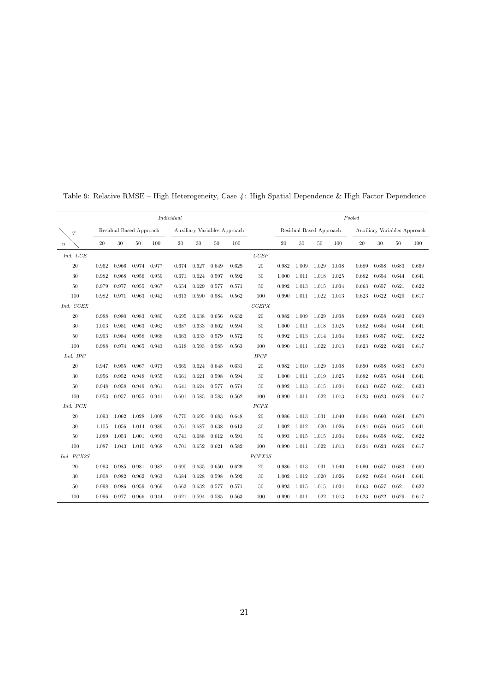|                  |       |                         |       |       | Individual |       |       |                              |        |       |       |                         |       | Pooled |       |                              |       |
|------------------|-------|-------------------------|-------|-------|------------|-------|-------|------------------------------|--------|-------|-------|-------------------------|-------|--------|-------|------------------------------|-------|
| T                |       | Residual Based Approach |       |       |            |       |       | Auxiliary Variables Approach |        |       |       | Residual Based Approach |       |        |       | Auxiliary Variables Approach |       |
| $\boldsymbol{n}$ | 20    | 30                      | 50    | 100   | 20         | 30    | 50    | 100                          |        | 20    | 30    | 50                      | 100   | 20     | 30    | 50                           | 100   |
| Ind. CCE         |       |                         |       |       |            |       |       |                              | CCEP   |       |       |                         |       |        |       |                              |       |
| 20               | 0.962 | 0.966                   | 0.974 | 0.977 | 0.674      | 0.627 | 0.649 | 0.629                        | 20     | 0.982 | 1.009 | 1.029                   | 1.038 | 0.689  | 0.658 | 0.683                        | 0.669 |
| 30               | 0.982 | 0.968                   | 0.956 | 0.959 | 0.671      | 0.624 | 0.597 | 0.592                        | 30     | 1.000 | 1.011 | 1.018                   | 1.025 | 0.682  | 0.654 | 0.644                        | 0.641 |
| 50               | 0.979 | 0.977                   | 0.955 | 0.967 | 0.654      | 0.629 | 0.577 | 0.571                        | 50     | 0.992 | 1.013 | 1.015                   | 1.034 | 0.663  | 0.657 | 0.621                        | 0.622 |
| 100              | 0.982 | 0.971                   | 0.963 | 0.942 | 0.613      | 0.590 | 0.584 | 0.562                        | 100    | 0.990 | 1.011 | 1.022                   | 1.013 | 0.623  | 0.622 | 0.629                        | 0.617 |
| Ind. CCEX        |       |                         |       |       |            |       |       |                              | CCEPX  |       |       |                         |       |        |       |                              |       |
| $20\,$           | 0.988 | 0.980                   | 0.983 | 0.980 | 0.695      | 0.638 | 0.656 | 0.632                        | 20     | 0.982 | 1.009 | 1.029                   | 1.038 | 0.689  | 0.658 | 0.683                        | 0.669 |
| $30\,$           | 1.003 | 0.981                   | 0.963 | 0.962 | 0.687      | 0.633 | 0.602 | 0.594                        | 30     | 1.000 | 1.011 | 1.018                   | 1.025 | 0.682  | 0.654 | 0.644                        | 0.641 |
| $50\,$           | 0.993 | 0.984                   | 0.958 | 0.968 | 0.663      | 0.633 | 0.579 | 0.572                        | 50     | 0.992 | 1.013 | 1.014 1.034             |       | 0.663  | 0.657 | 0.621                        | 0.622 |
| 100              | 0.988 | 0.974                   | 0.965 | 0.943 | 0.618      | 0.593 | 0.585 | 0.563                        | 100    | 0.990 | 1.011 | 1.022                   | 1.013 | 0.623  | 0.622 | 0.629                        | 0.617 |
| Ind. IPC         |       |                         |       |       |            |       |       |                              | IPCP   |       |       |                         |       |        |       |                              |       |
| 20               | 0.947 | 0.955                   | 0.967 | 0.973 | 0.669      | 0.624 | 0.648 | 0.631                        | 20     | 0.982 | 1.010 | 1.029                   | 1.038 | 0.690  | 0.658 | 0.683                        | 0.670 |
| $30\,$           | 0.956 | 0.952                   | 0.948 | 0.955 | 0.661      | 0.621 | 0.598 | 0.594                        | 30     | 1.000 | 1.011 | 1.019                   | 1.025 | 0.682  | 0.655 | 0.644                        | 0.641 |
| 50               | 0.948 | 0.958                   | 0.949 | 0.961 | 0.641      | 0.624 | 0.577 | 0.574                        | 50     | 0.992 | 1.013 | 1.015                   | 1.034 | 0.663  | 0.657 | 0.621                        | 0.623 |
| 100              | 0.953 | 0.957                   | 0.955 | 0.941 | 0.601      | 0.585 | 0.583 | 0.562                        | 100    | 0.990 |       | 1.011 1.022             | 1.013 | 0.623  | 0.623 | 0.629                        | 0.617 |
| Ind. PCX         |       |                         |       |       |            |       |       |                              | PCPX   |       |       |                         |       |        |       |                              |       |
| $20\,$           | 1.093 | 1.062                   | 1.028 | 1.008 | 0.770      | 0.695 | 0.683 | 0.648                        | 20     | 0.986 | 1.013 | 1.031 1.040             |       | 0.694  | 0.660 | 0.684                        | 0.670 |
| $30\,$           | 1.105 | 1.056                   | 1.014 | 0.989 | 0.761      | 0.687 | 0.638 | 0.613                        | 30     | 1.002 | 1.012 | 1.020                   | 1.026 | 0.684  | 0.656 | 0.645                        | 0.641 |
| 50               | 1.089 | 1.053                   | 1.001 | 0.993 | 0.741      | 0.688 | 0.612 | 0.591                        | 50     | 0.993 | 1.015 | 1.015                   | 1.034 | 0.664  | 0.658 | 0.621                        | 0.622 |
| 100              | 1.087 | 1.043                   | 1.010 | 0.968 | 0.701      | 0.652 | 0.621 | 0.582                        | 100    | 0.990 | 1.011 | 1.022                   | 1.013 | 0.624  | 0.623 | 0.629                        | 0.617 |
| Ind. PCX2S       |       |                         |       |       |            |       |       |                              | PCPX2S |       |       |                         |       |        |       |                              |       |
| $20\,$           | 0.993 | 0.985                   | 0.981 | 0.982 | 0.690      | 0.635 | 0.650 | 0.629                        | 20     | 0.986 | 1.013 | 1.031 1.040             |       | 0.690  | 0.657 | 0.683                        | 0.669 |
| $30\,$           | 1.008 | 0.982                   | 0.962 | 0.963 | 0.684      | 0.628 | 0.598 | 0.592                        | 30     | 1.002 | 1.012 | 1.020                   | 1.026 | 0.682  | 0.654 | 0.644                        | 0.641 |
| 50               | 0.998 | 0.986                   | 0.959 | 0.969 | 0.663      | 0.632 | 0.577 | 0.571                        | 50     | 0.993 | 1.015 | 1.015                   | 1.034 | 0.663  | 0.657 | 0.621                        | 0.622 |
| 100              | 0.996 | 0.977                   | 0.966 | 0.944 | 0.621      | 0.594 | 0.585 | 0.563                        | 100    | 0.990 |       | 1.011 1.022             | 1.013 | 0.623  | 0.622 | 0.629                        | 0.617 |

Table 9: Relative RMSE – High Heterogeneity, Case  $\lambda$ : High Spatial Dependence & High Factor Dependence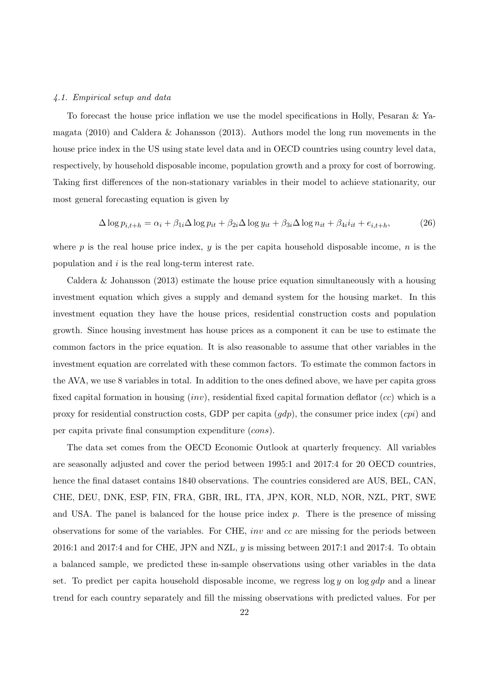## 4.1. Empirical setup and data

To forecast the house price inflation we use the model specifications in Holly, Pesaran & Yamagata (2010) and Caldera & Johansson (2013). Authors model the long run movements in the house price index in the US using state level data and in OECD countries using country level data, respectively, by household disposable income, population growth and a proxy for cost of borrowing. Taking first differences of the non-stationary variables in their model to achieve stationarity, our most general forecasting equation is given by

$$
\Delta \log p_{i,t+h} = \alpha_i + \beta_{1i} \Delta \log p_{it} + \beta_{2i} \Delta \log y_{it} + \beta_{3i} \Delta \log n_{it} + \beta_{4i} i_{it} + e_{i,t+h},\tag{26}
$$

where p is the real house price index,  $y$  is the per capita household disposable income,  $n$  is the population and i is the real long-term interest rate.

Caldera & Johansson (2013) estimate the house price equation simultaneously with a housing investment equation which gives a supply and demand system for the housing market. In this investment equation they have the house prices, residential construction costs and population growth. Since housing investment has house prices as a component it can be use to estimate the common factors in the price equation. It is also reasonable to assume that other variables in the investment equation are correlated with these common factors. To estimate the common factors in the AVA, we use 8 variables in total. In addition to the ones defined above, we have per capita gross fixed capital formation in housing  $(inv)$ , residential fixed capital formation deflator  $(cc)$  which is a proxy for residential construction costs, GDP per capita  $(gdp)$ , the consumer price index  $(cpi)$  and per capita private final consumption expenditure (cons).

The data set comes from the OECD Economic Outlook at quarterly frequency. All variables are seasonally adjusted and cover the period between 1995:1 and 2017:4 for 20 OECD countries, hence the final dataset contains 1840 observations. The countries considered are AUS, BEL, CAN, CHE, DEU, DNK, ESP, FIN, FRA, GBR, IRL, ITA, JPN, KOR, NLD, NOR, NZL, PRT, SWE and USA. The panel is balanced for the house price index  $p$ . There is the presence of missing observations for some of the variables. For CHE, inv and cc are missing for the periods between 2016:1 and 2017:4 and for CHE, JPN and NZL,  $y$  is missing between 2017:1 and 2017:4. To obtain a balanced sample, we predicted these in-sample observations using other variables in the data set. To predict per capita household disposable income, we regress  $\log y$  on  $\log qdp$  and a linear trend for each country separately and fill the missing observations with predicted values. For per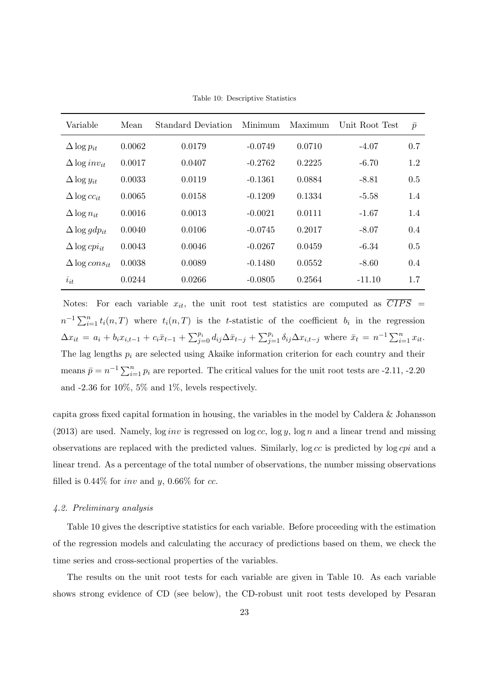Table 10: Descriptive Statistics

| Variable                        | Mean   | Standard Deviation | Minimum   | Maximum | Unit Root Test | $\bar{p}$     |
|---------------------------------|--------|--------------------|-----------|---------|----------------|---------------|
| $\Delta \log p_{it}$            | 0.0062 | 0.0179             | $-0.0749$ | 0.0710  | $-4.07$        | 0.7           |
| $\Delta \log inv_{it}$          | 0.0017 | 0.0407             | $-0.2762$ | 0.2225  | $-6.70$        | 1.2           |
| $\Delta \log y_{it}$            | 0.0033 | 0.0119             | $-0.1361$ | 0.0884  | $-8.81$        | 0.5           |
| $\Delta \log cc_{it}$           | 0.0065 | 0.0158             | $-0.1209$ | 0.1334  | $-5.58$        | 1.4           |
| $\Delta \log n_{it}$            | 0.0016 | 0.0013             | $-0.0021$ | 0.0111  | $-1.67$        | 1.4           |
| $\Delta \log gdp_{it}$          | 0.0040 | 0.0106             | $-0.0745$ | 0.2017  | $-8.07$        | 0.4           |
| $\Delta \log cpi_{it}$          | 0.0043 | 0.0046             | $-0.0267$ | 0.0459  | $-6.34$        | 0.5           |
| $\Delta$ log cons <sub>it</sub> | 0.0038 | 0.0089             | $-0.1480$ | 0.0552  | $-8.60$        | $0.4^{\circ}$ |
| $i_{it}$                        | 0.0244 | 0.0266             | $-0.0805$ | 0.2564  | $-11.10$       | 1.7           |

Notes: For each variable  $x_{it}$ , the unit root test statistics are computed as  $\overline{CIPS}$  =  $n^{-1}\sum_{i=1}^{n}t_i(n,T)$  where  $t_i(n,T)$  is the t-statistic of the coefficient  $b_i$  in the regression  $\Delta x_{it} = a_i + b_i x_{i,t-1} + c_i \bar{x}_{t-1} + \sum_{j=0}^{p_i} d_{ij} \Delta \bar{x}_{t-j} + \sum_{j=1}^{p_i} \delta_{ij} \Delta x_{i,t-j}$  where  $\bar{x}_t = n^{-1} \sum_{i=1}^{n} x_{it}$ . The lag lengths  $p_i$  are selected using Akaike information criterion for each country and their means  $\bar{p} = n^{-1} \sum_{i=1}^{n} p_i$  are reported. The critical values for the unit root tests are -2.11, -2.20 and  $-2.36$  for  $10\%, 5\%$  and  $1\%,$  levels respectively.

capita gross fixed capital formation in housing, the variables in the model by Caldera & Johansson  $(2013)$  are used. Namely, log *inv* is regressed on log cc, log y, log n and a linear trend and missing observations are replaced with the predicted values. Similarly, log cc is predicted by log cpi and a linear trend. As a percentage of the total number of observations, the number missing observations filled is  $0.44\%$  for *inv* and y,  $0.66\%$  for *cc*.

# 4.2. Preliminary analysis

Table 10 gives the descriptive statistics for each variable. Before proceeding with the estimation of the regression models and calculating the accuracy of predictions based on them, we check the time series and cross-sectional properties of the variables.

The results on the unit root tests for each variable are given in Table 10. As each variable shows strong evidence of CD (see below), the CD-robust unit root tests developed by Pesaran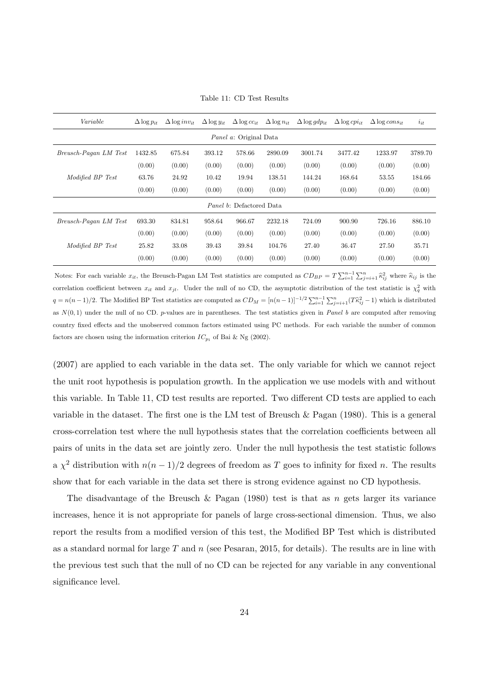| Variable              | $\Delta \log p_{it}$ | $\Delta \log inv_{it}$ | $\Delta \log y_{it}$ | $\Delta \log cc_{it}$           | $\Delta \log n_{it}$ | $\Delta \log gdp_{it}$ | $\Delta \log cpi_{it}$ | $\Delta$ log cons <sub>it</sub> | $i_{it}$ |
|-----------------------|----------------------|------------------------|----------------------|---------------------------------|----------------------|------------------------|------------------------|---------------------------------|----------|
|                       |                      |                        |                      | <i>Panel a:</i> Original Data   |                      |                        |                        |                                 |          |
| Breusch-Pagan LM Test | 1432.85              | 675.84                 | 393.12               | 578.66                          | 2890.09              | 3001.74                | 3477.42                | 1233.97                         | 3789.70  |
|                       | (0.00)               | (0.00)                 | (0.00)               | (0.00)                          | (0.00)               | (0.00)                 | (0.00)                 | (0.00)                          | (0.00)   |
| Modified BP Test      | 63.76                | 24.92                  | 10.42                | 19.94                           | 138.51               | 144.24                 | 168.64                 | 53.55                           | 184.66   |
|                       | (0.00)               | (0.00)                 | (0.00)               | (0.00)                          | (0.00)               | (0.00)                 | (0.00)                 | (0.00)                          | (0.00)   |
|                       |                      |                        |                      | <i>Panel b:</i> Defactored Data |                      |                        |                        |                                 |          |
| Breusch-Pagan LM Test | 693.30               | 834.81                 | 958.64               | 966.67                          | 2232.18              | 724.09                 | 900.90                 | 726.16                          | 886.10   |
|                       | (0.00)               | (0.00)                 | (0.00)               | (0.00)                          | (0.00)               | (0.00)                 | (0.00)                 | (0.00)                          | (0.00)   |
| Modified BP Test      | 25.82                | 33.08                  | 39.43                | 39.84                           | 104.76               | 27.40                  | 36.47                  | 27.50                           | 35.71    |
|                       | (0.00)               | (0.00)                 | (0.00)               | (0.00)                          | (0.00)               | (0.00)                 | (0.00)                 | (0.00)                          | (0.00)   |

Table 11: CD Test Results

Notes: For each variable  $x_{it}$ , the Breusch-Pagan LM Test statistics are computed as  $CD_{BP} = T \sum_{i=1}^{n-1} \sum_{j=i+1}^{n} \hat{\kappa}_{ij}^2$  where  $\hat{\kappa}_{ij}$  is the correlation coefficient between  $x_{it}$  and  $x_{jt}$ . Under the null of no CD, the asymptotic distribution of the test statistic is  $\chi_q^2$  with  $q = n(n-1)/2$ . The Modified BP Test statistics are computed as  $CD_M = [n(n-1)]^{-1/2} \sum_{i=1}^{n-1} \sum_{j=i+1}^{n} (T\hat{\kappa}_{ij}^2 - 1)$  which is distributed as  $N(0, 1)$  under the null of no CD. p-values are in parentheses. The test statistics given in Panel b are computed after removing country fixed effects and the unobserved common factors estimated using PC methods. For each variable the number of common factors are chosen using the information criterion  $IC_{p_1}$  of Bai & Ng (2002).

(2007) are applied to each variable in the data set. The only variable for which we cannot reject the unit root hypothesis is population growth. In the application we use models with and without this variable. In Table 11, CD test results are reported. Two different CD tests are applied to each variable in the dataset. The first one is the LM test of Breusch & Pagan  $(1980)$ . This is a general cross-correlation test where the null hypothesis states that the correlation coefficients between all pairs of units in the data set are jointly zero. Under the null hypothesis the test statistic follows a  $\chi^2$  distribution with  $n(n-1)/2$  degrees of freedom as T goes to infinity for fixed n. The results show that for each variable in the data set there is strong evidence against no CD hypothesis.

The disadvantage of the Breusch & Pagan (1980) test is that as  $n$  gets larger its variance increases, hence it is not appropriate for panels of large cross-sectional dimension. Thus, we also report the results from a modified version of this test, the Modified BP Test which is distributed as a standard normal for large  $T$  and  $n$  (see Pesaran, 2015, for details). The results are in line with the previous test such that the null of no CD can be rejected for any variable in any conventional significance level.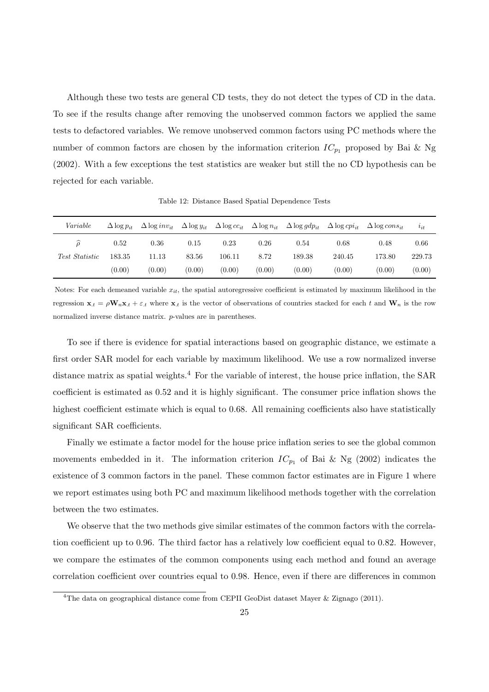Although these two tests are general CD tests, they do not detect the types of CD in the data. To see if the results change after removing the unobserved common factors we applied the same tests to defactored variables. We remove unobserved common factors using PC methods where the number of common factors are chosen by the information criterion  $IC_{p_1}$  proposed by Bai & Ng (2002). With a few exceptions the test statistics are weaker but still the no CD hypothesis can be rejected for each variable.

| Variable              | $\Delta \log p_{it}$ | $\Delta \log inv_{it}$ | $\Delta \log y_{it}$ | $\Delta \log cc_{it}$ |        | $\Delta \log n_{it}$ $\Delta \log qdp_{it}$ | $\Delta \log cpi_{it}$ | $\Delta$ log cons <sub>it</sub> | i      |
|-----------------------|----------------------|------------------------|----------------------|-----------------------|--------|---------------------------------------------|------------------------|---------------------------------|--------|
| ô                     | 0.52                 | 0.36                   | 0.15                 | 0.23                  | 0.26   | 0.54                                        | 0.68                   | 0.48                            | 0.66   |
| <i>Test Statistic</i> | 183.35               | 11.13                  | 83.56                | 106.11                | 8.72   | 189.38                                      | 240.45                 | 173.80                          | 229.73 |
|                       | (0.00)               | (0.00)                 | (0.00)               | (0.00)                | (0.00) | (0.00)                                      | (0.00)                 | (0.00)                          | (0.00) |

Table 12: Distance Based Spatial Dependence Tests

Notes: For each demeaned variable  $x_{it}$ , the spatial autoregressive coefficient is estimated by maximum likelihood in the regression  $\mathbf{x}_t = \rho \mathbf{W}_n \mathbf{x}_t + \varepsilon_t$  where  $\mathbf{x}_t$  is the vector of observations of countries stacked for each t and  $\mathbf{W}_n$  is the row normalized inverse distance matrix. p-values are in parentheses.

To see if there is evidence for spatial interactions based on geographic distance, we estimate a first order SAR model for each variable by maximum likelihood. We use a row normalized inverse distance matrix as spatial weights.<sup>4</sup> For the variable of interest, the house price inflation, the SAR coefficient is estimated as 0.52 and it is highly significant. The consumer price inflation shows the highest coefficient estimate which is equal to 0.68. All remaining coefficients also have statistically significant SAR coefficients.

Finally we estimate a factor model for the house price inflation series to see the global common movements embedded in it. The information criterion  $IC_{p_1}$  of Bai & Ng (2002) indicates the existence of 3 common factors in the panel. These common factor estimates are in Figure 1 where we report estimates using both PC and maximum likelihood methods together with the correlation between the two estimates.

We observe that the two methods give similar estimates of the common factors with the correlation coefficient up to 0.96. The third factor has a relatively low coefficient equal to 0.82. However, we compare the estimates of the common components using each method and found an average correlation coefficient over countries equal to 0.98. Hence, even if there are differences in common

<sup>4</sup>The data on geographical distance come from CEPII GeoDist dataset Mayer & Zignago (2011).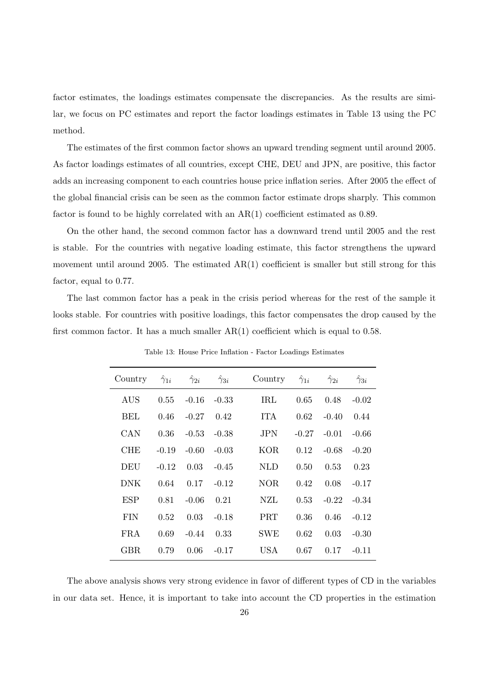factor estimates, the loadings estimates compensate the discrepancies. As the results are similar, we focus on PC estimates and report the factor loadings estimates in Table 13 using the PC method.

The estimates of the first common factor shows an upward trending segment until around 2005. As factor loadings estimates of all countries, except CHE, DEU and JPN, are positive, this factor adds an increasing component to each countries house price inflation series. After 2005 the effect of the global financial crisis can be seen as the common factor estimate drops sharply. This common factor is found to be highly correlated with an AR(1) coefficient estimated as 0.89.

On the other hand, the second common factor has a downward trend until 2005 and the rest is stable. For the countries with negative loading estimate, this factor strengthens the upward movement until around 2005. The estimated AR(1) coefficient is smaller but still strong for this factor, equal to 0.77.

The last common factor has a peak in the crisis period whereas for the rest of the sample it looks stable. For countries with positive loadings, this factor compensates the drop caused by the first common factor. It has a much smaller  $AR(1)$  coefficient which is equal to 0.58.

| Country    | $\hat{\gamma}_{1i}$ | $\hat{\gamma}_{2i}$ | $\gamma_{3i}$ | Country    | $\hat{\gamma}_{1i}$ | $\hat{\gamma}_{2i}$ | $\hat{\gamma}_{3i}$ |
|------------|---------------------|---------------------|---------------|------------|---------------------|---------------------|---------------------|
| AUS        | 0.55                | $-0.16$             | $-0.33$       | TRL        | 0.65                | 0.48                | $-0.02$             |
| BEL        | 0.46                | $-0.27$             | 0.42          | <b>ITA</b> | 0.62                | $-0.40$             | 0.44                |
| CAN        | 0.36                | $-0.53$             | $-0.38$       | <b>JPN</b> | $-0.27$             | $-0.01$             | $-0.66$             |
| <b>CHE</b> | $-0.19$             | $-0.60$             | $-0.03$       | <b>KOR</b> | 0.12                | $-0.68$             | $-0.20$             |
| DEU        | $-0.12$             | 0.03                | $-0.45$       | <b>NLD</b> | 0.50                | 0.53                | 0.23                |
| <b>DNK</b> | 0.64                | 0.17                | $-0.12$       | NOR.       | 0.42                | 0.08                | $-0.17$             |
| ESP        | 0.81                | $-0.06$             | 0.21          | NZL        | 0.53                | $-0.22$             | $-0.34$             |
| <b>FIN</b> | 0.52                | 0.03                | $-0.18$       | <b>PRT</b> | 0.36                | 0.46                | $-0.12$             |
| FRA        | 0.69                | $-0.44$             | 0.33          | <b>SWE</b> | 0.62                | 0.03                | $-0.30$             |
| <b>GBR</b> | 0.79                | 0.06                | $-0.17$       | USA        | 0.67                | 0.17                | $-0.11$             |

Table 13: House Price Inflation - Factor Loadings Estimates

The above analysis shows very strong evidence in favor of different types of CD in the variables in our data set. Hence, it is important to take into account the CD properties in the estimation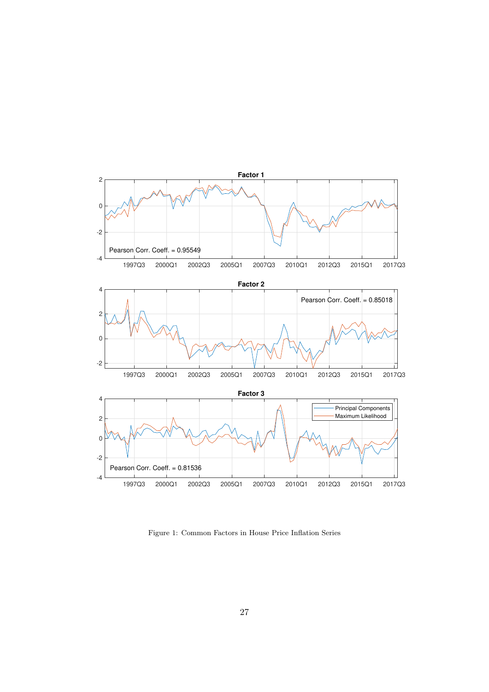

Figure 1: Common Factors in House Price Inflation Series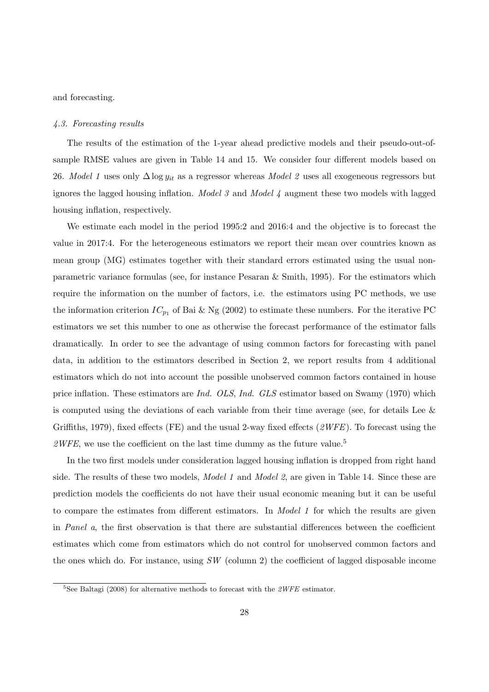and forecasting.

#### 4.3. Forecasting results

The results of the estimation of the 1-year ahead predictive models and their pseudo-out-ofsample RMSE values are given in Table 14 and 15. We consider four different models based on 26. Model 1 uses only  $\Delta \log y_{it}$  as a regressor whereas Model 2 uses all exogeneous regressors but ignores the lagged housing inflation. *Model 3* and *Model 4* augment these two models with lagged housing inflation, respectively.

We estimate each model in the period 1995:2 and 2016:4 and the objective is to forecast the value in 2017:4. For the heterogeneous estimators we report their mean over countries known as mean group (MG) estimates together with their standard errors estimated using the usual nonparametric variance formulas (see, for instance Pesaran & Smith, 1995). For the estimators which require the information on the number of factors, i.e. the estimators using PC methods, we use the information criterion  $IC_{p_1}$  of Bai & Ng (2002) to estimate these numbers. For the iterative PC estimators we set this number to one as otherwise the forecast performance of the estimator falls dramatically. In order to see the advantage of using common factors for forecasting with panel data, in addition to the estimators described in Section 2, we report results from 4 additional estimators which do not into account the possible unobserved common factors contained in house price inflation. These estimators are *Ind. OLS*, *Ind. GLS* estimator based on Swamy (1970) which is computed using the deviations of each variable from their time average (see, for details Lee & Griffiths, 1979), fixed effects (FE) and the usual 2-way fixed effects  $(2WFE)$ . To forecast using the  $2WFE$ , we use the coefficient on the last time dummy as the future value.<sup>5</sup>

In the two first models under consideration lagged housing inflation is dropped from right hand side. The results of these two models, *Model 1* and *Model 2*, are given in Table 14. Since these are prediction models the coefficients do not have their usual economic meaning but it can be useful to compare the estimates from different estimators. In Model 1 for which the results are given in Panel a, the first observation is that there are substantial differences between the coefficient estimates which come from estimators which do not control for unobserved common factors and the ones which do. For instance, using  $SW$  (column 2) the coefficient of lagged disposable income

<sup>&</sup>lt;sup>5</sup>See Baltagi (2008) for alternative methods to forecast with the  $2WFE$  estimator.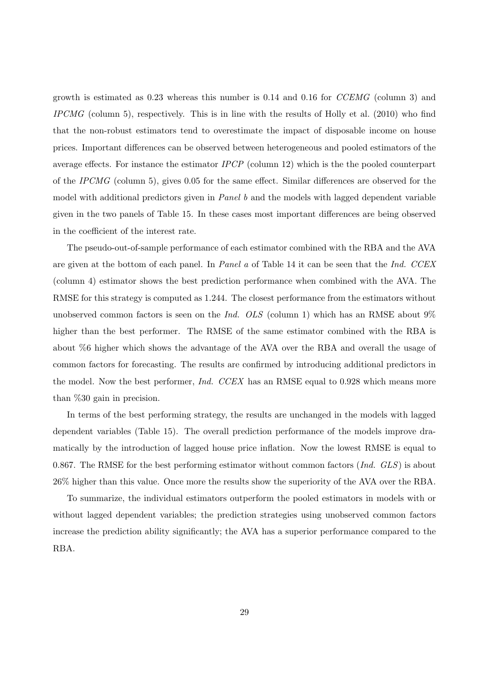growth is estimated as 0.23 whereas this number is 0.14 and 0.16 for CCEMG (column 3) and IPCMG (column 5), respectively. This is in line with the results of Holly et al. (2010) who find that the non-robust estimators tend to overestimate the impact of disposable income on house prices. Important differences can be observed between heterogeneous and pooled estimators of the average effects. For instance the estimator IPCP (column 12) which is the the pooled counterpart of the IPCMG (column 5), gives 0.05 for the same effect. Similar differences are observed for the model with additional predictors given in Panel b and the models with lagged dependent variable given in the two panels of Table 15. In these cases most important differences are being observed in the coefficient of the interest rate.

The pseudo-out-of-sample performance of each estimator combined with the RBA and the AVA are given at the bottom of each panel. In Panel a of Table 14 it can be seen that the Ind. CCEX (column 4) estimator shows the best prediction performance when combined with the AVA. The RMSE for this strategy is computed as 1.244. The closest performance from the estimators without unobserved common factors is seen on the Ind. OLS (column 1) which has an RMSE about  $9\%$ higher than the best performer. The RMSE of the same estimator combined with the RBA is about %6 higher which shows the advantage of the AVA over the RBA and overall the usage of common factors for forecasting. The results are confirmed by introducing additional predictors in the model. Now the best performer, *Ind. CCEX* has an RMSE equal to 0.928 which means more than %30 gain in precision.

In terms of the best performing strategy, the results are unchanged in the models with lagged dependent variables (Table 15). The overall prediction performance of the models improve dramatically by the introduction of lagged house price inflation. Now the lowest RMSE is equal to 0.867. The RMSE for the best performing estimator without common factors  $(Ind. GLS)$  is about 26% higher than this value. Once more the results show the superiority of the AVA over the RBA.

To summarize, the individual estimators outperform the pooled estimators in models with or without lagged dependent variables; the prediction strategies using unobserved common factors increase the prediction ability significantly; the AVA has a superior performance compared to the RBA.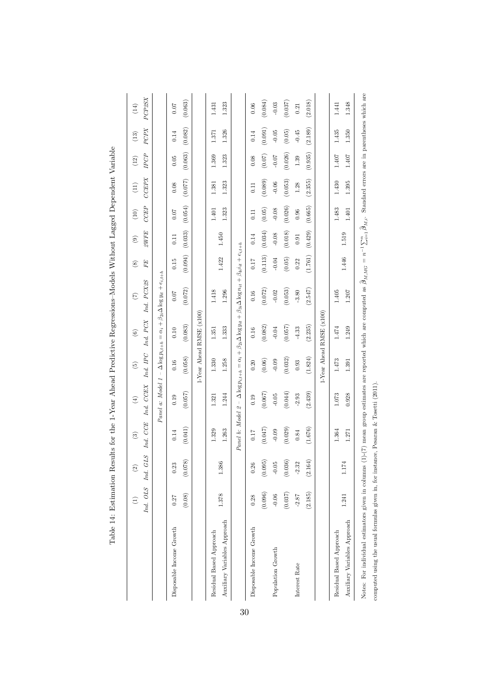|                              | Ind. OLS<br>$\widehat{\Xi}$ | Ind. GLS<br>$\widehat{\infty}$ | CCE<br>$\mathfrak{S}$<br>Ind. | Ind. CCEX<br>$\left(\frac{4}{3}\right)$ | Ind. IPC<br>$\widehat{5}$ | Ind. PCX<br>$\odot$      | Ind. PCX2S<br>$\overline{C}$                                                                                                                              | FE<br>$\circledast$ | 2WFE<br>$\widehat{e}$ | <b>CCEP</b><br>$\left( \frac{10}{2} \right)$ | <b>CCEPX</b><br>$\left(11\right)$ | IPCP<br>$(12)$ | PCPX<br>$(13)$ | PCP2SX<br>(14) |
|------------------------------|-----------------------------|--------------------------------|-------------------------------|-----------------------------------------|---------------------------|--------------------------|-----------------------------------------------------------------------------------------------------------------------------------------------------------|---------------------|-----------------------|----------------------------------------------|-----------------------------------|----------------|----------------|----------------|
|                              |                             |                                |                               |                                         |                           |                          | Panel a: Model $1 - \Delta \log p_{i,t+h} = \alpha_i + \beta_{2i} \Delta \log y_{it} + e_{i,t+h}$                                                         |                     |                       |                                              |                                   |                |                |                |
| Disposable Income Growth     | 0.27                        | 0.23                           | 0.14                          | 0.19                                    | 0.16                      | 0.10                     | 0.07                                                                                                                                                      | 0.15                | 0.11                  | 0.07                                         | 0.08                              | 0.05           | 0.14           | 0.07           |
|                              | (0.08)                      | (0.078)                        | (0.041)                       | (0.057)                                 | (0.058)                   | (0.083)                  | (0.072)                                                                                                                                                   | (0.094)             | (0.033)               | (0.054)                                      | (0.077)                           | (0.063)        | (0.082)        | (0.063)        |
|                              |                             |                                |                               |                                         |                           | 1-Year Ahead RMSE (x100) |                                                                                                                                                           |                     |                       |                                              |                                   |                |                |                |
| Residual Based Approach      |                             |                                | 1.329                         | 1.321                                   | 1.330                     | 1.351                    | 1.418                                                                                                                                                     |                     |                       | $1.401\,$                                    | 1.381                             | 1.369          | 1.371          | 1.431          |
| Auxiliary Variables Approach | 1.378                       | 1.386                          | 1.263                         | 1.244                                   | 1.258                     | 1.333                    | 1.296                                                                                                                                                     | 1.422               | 1.450                 | 1.323                                        | 1.323                             | 1.323          | 1.326          | 1.323          |
|                              |                             |                                |                               |                                         |                           |                          | $P$ anel b: Model 2 - $\Delta \log p_i,_{t+h} = \alpha_i + \beta_{2i} \Delta \log y_{it} + \beta_{3i} \Delta \log n_{it} + \beta_{4i} i_{it} + e_{i,t+h}$ |                     |                       |                                              |                                   |                |                |                |
| Disposable Income Growth     | 0.28                        | 0.26                           | 0.17                          | 0.19                                    | 0.20                      | 0.16                     | 0.16                                                                                                                                                      | 0.17                | 0.14                  | $\overline{11}$                              | 0.11                              | 0.08           | 0.14           | 0.06           |
|                              | (0.096)                     | (0.095)                        | (0.047)                       | (0.067)                                 | (0.06)                    | (0.082)                  | (0.072)                                                                                                                                                   | (0.113)             | (0.034)               | (0.05)                                       | (0.089)                           | (0.07)         | (0.091)        | (0.084)        |
| Population Growth            | $-0.06$                     | $-0.05$                        | $-0.09$                       | $-0.05$                                 | $-0.09$                   | $-0.04$                  | $-0.02$                                                                                                                                                   | $-0.04$             | $-0.08$               | $-0.08$                                      | $-0.06$                           | $-0.07$        | $-0.05$        | $-0.03$        |
|                              | (0.037)                     | (0.036)                        | (0.029)                       | (0.044)                                 | (0.032)                   | (0.057)                  | (0.053)                                                                                                                                                   | (0.05)              | (0.018)               | (0.026)                                      | (0.053)                           | (0.026)        | (0.05)         | (0.037)        |
| Interest Rate                | $-2.87$                     | $-2.32$                        | 0.84                          | $-2.93$                                 | 0.93                      | $-4.33$                  | $-3.80$                                                                                                                                                   | 0.22                | 0.91                  | 0.96                                         | 1.28                              | 1.39           | $-0.45$        | 0.21           |
|                              | (2.185)                     | (2.164)                        | $(1.676)$                     | (2.439)                                 | (1.824)                   | (2.235)                  | (2.547)                                                                                                                                                   | (1.761)             | (0.429)               | (0.665)                                      | (2.355)                           | (0.935)        | (2.189)        | (2.018)        |
|                              |                             |                                |                               |                                         |                           | 1-Year Ahead RMSE (x100) |                                                                                                                                                           |                     |                       |                                              |                                   |                |                |                |
| Residual Based Approach      |                             |                                | 1.364                         | 1.073                                   | 1.473                     | 1.474                    | 1.405                                                                                                                                                     |                     |                       | 1.483                                        | 1.430                             | $1.407\,$      | 1.435          | 1.441          |
| Auxiliary Variables Approach | 1.241                       | 1.174                          | 1.271                         | 0.928                                   | 1.391                     | 1.249                    | $1.207\,$                                                                                                                                                 | 1.446               | 1.519                 | 1.401                                        | 1.395                             | 1.407          | 1.350          | 1.348          |

Table 14: Estimation Results for the 1-Year Ahead Predictive Regressions-Models Without Lagged Dependent Variable Table 14: Estimation Results for the 1-Year Ahead Predictive Regressions–Models Without Lagged Dependent Variable

computed using the usual formulas given in, for instance, Pesaran & Tosetti (2011).

computed using the usual formulas given in, for instance, Pesaran  $\&$  Tosetti (2011).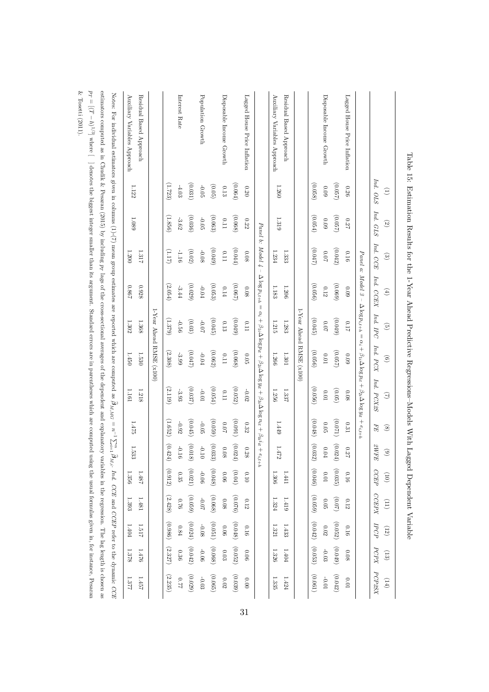|                                                                                                                                                                                                       | Ind. OLS<br>$\widehat{E}$ | Ind. GLS<br>$\odot$ | Ind. CCE<br>$\mathbf{e}$ | Ind. CCEX<br>$\tag{4}$                                     | $\mathit{Ind.} \mathit{IPC}$<br>$\widehat{\mathfrak{S}}$ | $\it{Ind.}~PCX$<br>$\widehat{e}$ | Ind. PCX2S<br>$\Im$                                                                                                                        | ${\cal F}{\cal E}$<br>$\circledast$ | $\mathcal{Z}WFE$<br>$\rm \rm{(6)}$ | CCEP<br>$\widehat{5}$ | CCEPX<br>(i1)        | $\cal{P}CP$<br>(12)   | PCPX<br>(13) | PCP2SX<br>(14)                                         |
|-------------------------------------------------------------------------------------------------------------------------------------------------------------------------------------------------------|---------------------------|---------------------|--------------------------|------------------------------------------------------------|----------------------------------------------------------|----------------------------------|--------------------------------------------------------------------------------------------------------------------------------------------|-------------------------------------|------------------------------------|-----------------------|----------------------|-----------------------|--------------|--------------------------------------------------------|
|                                                                                                                                                                                                       |                           |                     | Panel a:                 |                                                            |                                                          |                                  | Model $3 - \Delta \log p_{i,t+h} = \alpha_i + \beta_{1i} \Delta \log p_{it} + \beta_{2i} \Delta \log y_{it} + e_{i,t+h}$                   |                                     |                                    |                       |                      |                       |              |                                                        |
| Lagged House Price Inflation                                                                                                                                                                          | 0.26                      | 720                 | 0.16                     | $60^\circ$                                                 | 71.0                                                     | $0.09\,$                         | $0.08\,$                                                                                                                                   | $0.31\,$                            | 0.27                               | 0.16                  | $0.12\,$             | 0.16                  | $0.08\,$     | $10.01\,$                                              |
|                                                                                                                                                                                                       | (0.057)                   | (0.057)             | (0.042)                  | (690)                                                      | (0.049)                                                  | (0.057)                          | (0.05)                                                                                                                                     | (1200)                              | (0.024)                            | (0.035)               | (0.07)               | (0.052)               | (0.049)      | (0.042)                                                |
| Disposable Income Growth                                                                                                                                                                              | $60^\circ$                | $60^\circ\!\!.0$    | $\rm 70.0$               | $0.12\,$                                                   | $\!0.07\!$                                               | $10.01\,$                        | $10.0\,$                                                                                                                                   | $0.05\,$                            | $0.04\,$                           | $10.01\,$             | $0.05\,$             | $0.02\,$              | $-0.03$      | $10.01$                                                |
|                                                                                                                                                                                                       | (0.058)                   | (0.054)             | (0.047)                  | (0.056)                                                    | (0.045)                                                  | (0.056)                          | (0.056)                                                                                                                                    | (0.048)                             | (0.032)                            | (0.046)               | (0.059)              | $\left( 0.042\right)$ | (0.053)      | $\left( 0.061\right)$                                  |
|                                                                                                                                                                                                       |                           |                     |                          |                                                            |                                                          | 1-Year Ahead RMSE (x100)         |                                                                                                                                            |                                     |                                    |                       |                      |                       |              |                                                        |
| Residual Based Approach                                                                                                                                                                               |                           |                     | 1.333                    | 1.206                                                      | 1.283                                                    | $1.301\,$                        | 1.337                                                                                                                                      |                                     |                                    | 1.441                 | $1.419\,$            | 1.433                 | $1.404\,$    | 1.424                                                  |
| Auxiliary Variables Approach                                                                                                                                                                          | 1.260                     | $1.319\,$           | $1.234\,$                | 1.183                                                      | $1.215\,$                                                | 1.266                            | 1.256                                                                                                                                      | $1.449\,$                           | $1.472\,$                          | 1.306                 | $1.324\,$            | 1.321                 | 1.326        | 1.335                                                  |
|                                                                                                                                                                                                       |                           |                     |                          | <i>Panel b:</i> $Model \space 4 - \Delta \log p_{i,t+h} =$ |                                                          |                                  | $\alpha_i + \beta_{1i} \Delta \log p_{it} + \beta_{2i} \Delta \log y_{it} + \beta_{3i} \Delta \log n_{it} + \beta_{4i} i_{it} + e_{i,t+h}$ |                                     |                                    |                       |                      |                       |              |                                                        |
| Lagged House Price Inflation                                                                                                                                                                          | 0.20                      | $0.22\,$            | $0.08\,$                 | $0.08\,$                                                   | 111                                                      | $0.05\,$                         | $-0.02$                                                                                                                                    | $0.32\,$                            | $0.28\,$                           | $0.10\,$              | $0.12\,$             | 0.16                  | $0.06\,$     | $0.00$                                                 |
|                                                                                                                                                                                                       | (0.064)                   | (0.068)             | (0.044)                  | (0.067)                                                    | (0.049)                                                  | (0.068)                          | (0.052)                                                                                                                                    | (1600)                              | (0.024)                            | $(0.04)$              | (0.076)              | $\left(0.048\right)$  | (0.052)      | (0.039)                                                |
| Disposable Income Growth                                                                                                                                                                              | $0.13\,$                  | $0.11\,$            | $0.11\,$                 | $0.14\,$                                                   | $0.13\,$                                                 | $0.11\,$                         | $0.11\,$                                                                                                                                   | $\!0.07\!$                          | $0.08\,$                           | $0.06\,$              | $0.08\,$             | $90^\circ$            | $0.03\,$     | $0.02\,$                                               |
|                                                                                                                                                                                                       | (6.05)                    | (0.063)             | $(6 + 0.049)$            | (0.053)                                                    | (0.045)                                                  | (0.062)                          | $\left(0.054\right)$                                                                                                                       | (0.059)                             | (0.033)                            | (0.048)               | $\left(0.068\right)$ | (0.051)               | (0.068)      | (0.065)                                                |
| Population Growth                                                                                                                                                                                     | $-0.05$                   | $-0.05$             | $-0.08$                  | $-0.04\,$                                                  | $-0.07$                                                  | $-0.04$                          | $-0.01$                                                                                                                                    | $-0.05$                             | $-0.10$                            | $-0.06$               | $-0.07$              | $-0.08$               | $-0.06$      | $-0.03$                                                |
|                                                                                                                                                                                                       | (0.031)                   | (0.036)             | $(0.02)$                 | (0.029)                                                    | (0.03)                                                   | (0.047)                          | $(0.037)$                                                                                                                                  | (0.045)                             | (0.018)                            | (0.021)               | (0.059)              | (0.024)               | $(0.042)$    | (0.029)                                                |
| Interest Rate                                                                                                                                                                                         | $-4.03$                   | $-3.62$             | $-1.16$                  | $\mbox{{\small -3.44}}$                                    | $-0.56$                                                  | $-3.99$                          | $-3.93$                                                                                                                                    | $-0.92$                             | $-0.16$                            | $0.35\,$              | $0.76$               | $0.84\,$              | $0.36\,$     | $220$                                                  |
|                                                                                                                                                                                                       | (1.723)                   | (1.856)             | (111)                    | (2.054)                                                    | (1.379)                                                  | (2.308)                          | (2.119)                                                                                                                                    | (1.652)                             | $\left( 0.424\right)$              | (0.912)               | (2.428)              | (0.986)               | (2.327)      | (2.235)                                                |
|                                                                                                                                                                                                       |                           |                     |                          |                                                            |                                                          | 1-Year Ahead RMSE (x100)         |                                                                                                                                            |                                     |                                    |                       |                      |                       |              |                                                        |
| Residual Based Approach                                                                                                                                                                               |                           |                     | 1.317                    | 0.928                                                      | 1.368                                                    | 1.530                            | $1.218\,$                                                                                                                                  |                                     |                                    | 1.487                 | 1.481                | 1.517                 | 1.476        | 1.457                                                  |
| Auxiliary Variables Approach                                                                                                                                                                          | $1.122\,$                 | 1.089               | 1.200                    | 798.0                                                      | $1.302\,$                                                | 1.450                            | 1.161                                                                                                                                      | 1.475                               | 1.533                              | 1.356                 | $1.393\,$            | 1.404                 | 1.378        | 1.377                                                  |
| Notes: For individual estimators given in columns (1)-(7) mean group estimates are reported which are computed as $\hat{\beta}_{M,MG} = n^{-1} \sum_{i=1}^{n} \hat{\beta}_{i}$                        |                           |                     |                          |                                                            |                                                          |                                  |                                                                                                                                            |                                     |                                    |                       |                      |                       |              | $h_{M,i}$ . Ind. CCE and CCEP refer to the dynamic CCE |
| estimators computed as in Cludik & Pesaran (2015) by including pr lags of the cross-sectional averages of the dependent and explanatory variables in the regression. The lag length is chosen as      |                           |                     |                          |                                                            |                                                          |                                  |                                                                                                                                            |                                     |                                    |                       |                      |                       |              |                                                        |
| $p_T = [(T-h)^{1/3}]$ where $[$ denotes the biggest integer smaller than its argument. Standard errors are in parentheses which are computed using the usual formulas given in, for instance, Pesaran |                           |                     |                          |                                                            |                                                          |                                  |                                                                                                                                            |                                     |                                    |                       |                      |                       |              |                                                        |
| & Tosetti (2011).                                                                                                                                                                                     |                           |                     |                          |                                                            |                                                          |                                  |                                                                                                                                            |                                     |                                    |                       |                      |                       |              |                                                        |

Table 15: Estimation Results for the 1-Year Ahead Predictive Regressions-Models With Lagged Dependent Variable Table 15: Estimation Results for the 1-Year Ahead Predictive Regressions–Models With Lagged Dependent Variable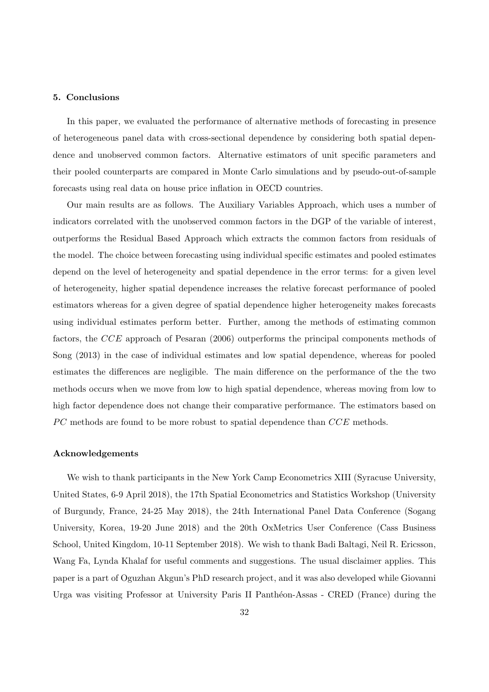#### 5. Conclusions

In this paper, we evaluated the performance of alternative methods of forecasting in presence of heterogeneous panel data with cross-sectional dependence by considering both spatial dependence and unobserved common factors. Alternative estimators of unit specific parameters and their pooled counterparts are compared in Monte Carlo simulations and by pseudo-out-of-sample forecasts using real data on house price inflation in OECD countries.

Our main results are as follows. The Auxiliary Variables Approach, which uses a number of indicators correlated with the unobserved common factors in the DGP of the variable of interest, outperforms the Residual Based Approach which extracts the common factors from residuals of the model. The choice between forecasting using individual specific estimates and pooled estimates depend on the level of heterogeneity and spatial dependence in the error terms: for a given level of heterogeneity, higher spatial dependence increases the relative forecast performance of pooled estimators whereas for a given degree of spatial dependence higher heterogeneity makes forecasts using individual estimates perform better. Further, among the methods of estimating common factors, the CCE approach of Pesaran (2006) outperforms the principal components methods of Song (2013) in the case of individual estimates and low spatial dependence, whereas for pooled estimates the differences are negligible. The main difference on the performance of the the two methods occurs when we move from low to high spatial dependence, whereas moving from low to high factor dependence does not change their comparative performance. The estimators based on  $PC$  methods are found to be more robust to spatial dependence than  $CCE$  methods.

## Acknowledgements

We wish to thank participants in the New York Camp Econometrics XIII (Syracuse University, United States, 6-9 April 2018), the 17th Spatial Econometrics and Statistics Workshop (University of Burgundy, France, 24-25 May 2018), the 24th International Panel Data Conference (Sogang University, Korea, 19-20 June 2018) and the 20th OxMetrics User Conference (Cass Business School, United Kingdom, 10-11 September 2018). We wish to thank Badi Baltagi, Neil R. Ericsson, Wang Fa, Lynda Khalaf for useful comments and suggestions. The usual disclaimer applies. This paper is a part of Oguzhan Akgun's PhD research project, and it was also developed while Giovanni Urga was visiting Professor at University Paris II Pantheon-Assas - CRED (France) during the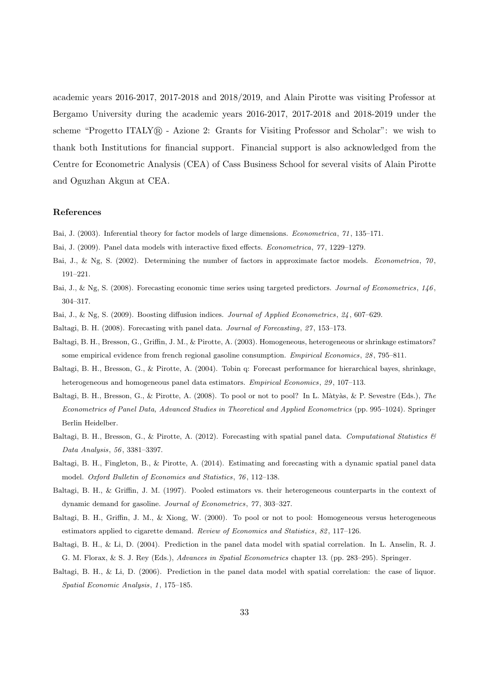academic years 2016-2017, 2017-2018 and 2018/2019, and Alain Pirotte was visiting Professor at Bergamo University during the academic years 2016-2017, 2017-2018 and 2018-2019 under the scheme "Progetto ITALY® - Azione 2: Grants for Visiting Professor and Scholar": we wish to thank both Institutions for financial support. Financial support is also acknowledged from the Centre for Econometric Analysis (CEA) of Cass Business School for several visits of Alain Pirotte and Oguzhan Akgun at CEA.

## References

- Bai, J. (2003). Inferential theory for factor models of large dimensions. Econometrica, 71 , 135–171.
- Bai, J. (2009). Panel data models with interactive fixed effects. Econometrica, 77 , 1229–1279.
- Bai, J., & Ng, S. (2002). Determining the number of factors in approximate factor models. Econometrica, 70, 191–221.
- Bai, J., & Ng, S. (2008). Forecasting economic time series using targeted predictors. Journal of Econometrics, 146, 304–317.
- Bai, J., & Ng, S. (2009). Boosting diffusion indices. Journal of Applied Econometrics, 24 , 607–629.
- Baltagi, B. H. (2008). Forecasting with panel data. Journal of Forecasting, 27 , 153–173.
- Baltagi, B. H., Bresson, G., Griffin, J. M., & Pirotte, A. (2003). Homogeneous, heterogeneous or shrinkage estimators? some empirical evidence from french regional gasoline consumption. Empirical Economics, 28, 795–811.
- Baltagi, B. H., Bresson, G., & Pirotte, A. (2004). Tobin q: Forecast performance for hierarchical bayes, shrinkage, heterogeneous and homogeneous panel data estimators. Empirical Economics, 29 , 107–113.
- Baltagi, B. H., Bresson, G., & Pirotte, A. (2008). To pool or not to pool? In L. Màtyàs, & P. Sevestre (Eds.), The Econometrics of Panel Data, Advanced Studies in Theoretical and Applied Econometrics (pp. 995–1024). Springer Berlin Heidelber.
- Baltagi, B. H., Bresson, G., & Pirotte, A. (2012). Forecasting with spatial panel data. Computational Statistics  $\mathcal{B}$ Data Analysis, 56 , 3381–3397.
- Baltagi, B. H., Fingleton, B., & Pirotte, A. (2014). Estimating and forecasting with a dynamic spatial panel data model. Oxford Bulletin of Economics and Statistics, 76 , 112–138.
- Baltagi, B. H., & Griffin, J. M. (1997). Pooled estimators vs. their heterogeneous counterparts in the context of dynamic demand for gasoline. Journal of Econometrics, 77 , 303–327.
- Baltagi, B. H., Griffin, J. M., & Xiong, W. (2000). To pool or not to pool: Homogeneous versus heterogeneous estimators applied to cigarette demand. Review of Economics and Statistics, 82, 117–126.
- Baltagi, B. H., & Li, D. (2004). Prediction in the panel data model with spatial correlation. In L. Anselin, R. J. G. M. Florax, & S. J. Rey (Eds.), Advances in Spatial Econometrics chapter 13. (pp. 283–295). Springer.
- Baltagi, B. H., & Li, D. (2006). Prediction in the panel data model with spatial correlation: the case of liquor. Spatial Economic Analysis, 1, 175–185.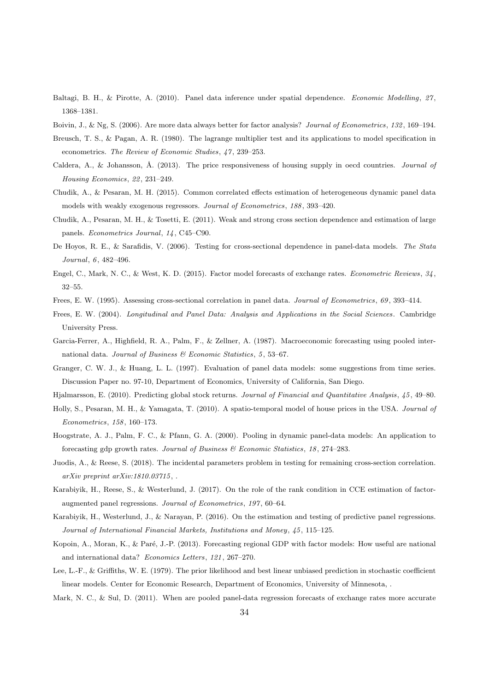- Baltagi, B. H., & Pirotte, A. (2010). Panel data inference under spatial dependence. Economic Modelling, 27 , 1368–1381.
- Boivin, J., & Ng, S. (2006). Are more data always better for factor analysis? Journal of Econometrics, 132 , 169–194.
- Breusch, T. S., & Pagan, A. R. (1980). The lagrange multiplier test and its applications to model specification in econometrics. The Review of Economic Studies, 47, 239–253.
- Caldera, A., & Johansson, Å. (2013). The price responsiveness of housing supply in oecd countries. Journal of Housing Economics, 22, 231-249.
- Chudik, A., & Pesaran, M. H. (2015). Common correlated effects estimation of heterogeneous dynamic panel data models with weakly exogenous regressors. Journal of Econometrics, 188 , 393–420.
- Chudik, A., Pesaran, M. H., & Tosetti, E. (2011). Weak and strong cross section dependence and estimation of large panels. Econometrics Journal, 14 , C45–C90.
- De Hoyos, R. E., & Sarafidis, V. (2006). Testing for cross-sectional dependence in panel-data models. The Stata Journal, 6, 482-496.
- Engel, C., Mark, N. C., & West, K. D. (2015). Factor model forecasts of exchange rates. Econometric Reviews, 34, 32–55.
- Frees, E. W. (1995). Assessing cross-sectional correlation in panel data. Journal of Econometrics, 69 , 393–414.
- Frees, E. W. (2004). Longitudinal and Panel Data: Analysis and Applications in the Social Sciences . Cambridge University Press.
- Garcia-Ferrer, A., Highfield, R. A., Palm, F., & Zellner, A. (1987). Macroeconomic forecasting using pooled international data. Journal of Business  $\mathcal B$  Economic Statistics, 5, 53–67.
- Granger, C. W. J., & Huang, L. L. (1997). Evaluation of panel data models: some suggestions from time series. Discussion Paper no. 97-10, Department of Economics, University of California, San Diego.

Hjalmarsson, E. (2010). Predicting global stock returns. Journal of Financial and Quantitative Analysis, 45 , 49–80.

- Holly, S., Pesaran, M. H., & Yamagata, T. (2010). A spatio-temporal model of house prices in the USA. Journal of Econometrics, 158 , 160–173.
- Hoogstrate, A. J., Palm, F. C., & Pfann, G. A. (2000). Pooling in dynamic panel-data models: An application to forecasting gdp growth rates. Journal of Business  $\mathcal C$  Economic Statistics, 18, 274–283.
- Juodis, A., & Reese, S. (2018). The incidental parameters problem in testing for remaining cross-section correlation.  $arXiv$  preprint  $arXiv:1810.03715$ ,
- Karabiyik, H., Reese, S., & Westerlund, J. (2017). On the role of the rank condition in CCE estimation of factoraugmented panel regressions. Journal of Econometrics, 197 , 60–64.
- Karabiyik, H., Westerlund, J., & Narayan, P. (2016). On the estimation and testing of predictive panel regressions. Journal of International Financial Markets, Institutions and Money, 45 , 115–125.
- Kopoin, A., Moran, K., & Paré, J.-P. (2013). Forecasting regional GDP with factor models: How useful are national and international data? Economics Letters, 121 , 267–270.
- Lee, L.-F., & Griffiths, W. E. (1979). The prior likelihood and best linear unbiased prediction in stochastic coefficient linear models. Center for Economic Research, Department of Economics, University of Minnesota, .

Mark, N. C., & Sul, D. (2011). When are pooled panel-data regression forecasts of exchange rates more accurate